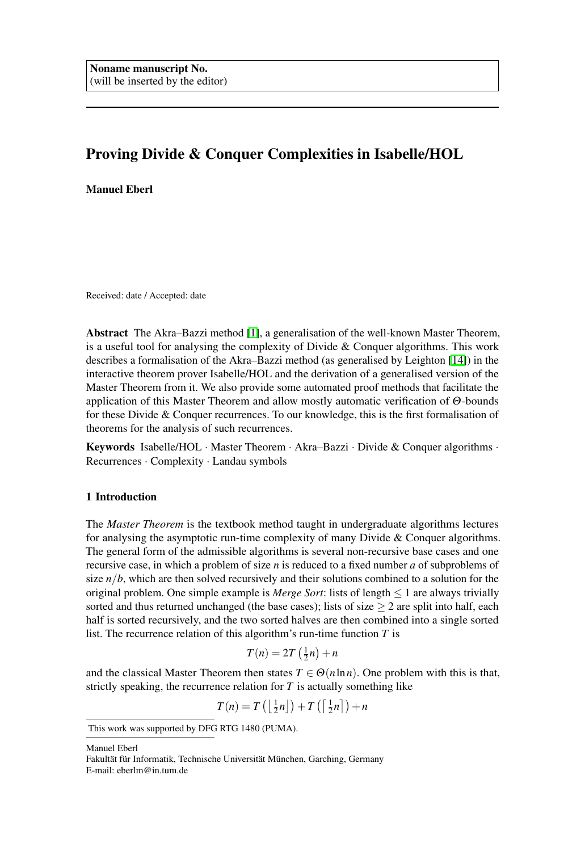# Proving Divide & Conquer Complexities in Isabelle/HOL

Manuel Eberl

Received: date / Accepted: date

Abstract The Akra–Bazzi method [\[1\]](#page-25-0), a generalisation of the well-known Master Theorem, is a useful tool for analysing the complexity of Divide  $&$  Conquer algorithms. This work describes a formalisation of the Akra–Bazzi method (as generalised by Leighton [\[14\]](#page-25-1)) in the interactive theorem prover Isabelle/HOL and the derivation of a generalised version of the Master Theorem from it. We also provide some automated proof methods that facilitate the application of this Master Theorem and allow mostly automatic verification of Θ-bounds for these Divide & Conquer recurrences. To our knowledge, this is the first formalisation of theorems for the analysis of such recurrences.

Keywords Isabelle/HOL · Master Theorem · Akra–Bazzi · Divide & Conquer algorithms · Recurrences · Complexity · Landau symbols

# 1 Introduction

The *Master Theorem* is the textbook method taught in undergraduate algorithms lectures for analysing the asymptotic run-time complexity of many Divide  $&$  Conquer algorithms. The general form of the admissible algorithms is several non-recursive base cases and one recursive case, in which a problem of size *n* is reduced to a fixed number *a* of subproblems of size  $n/b$ , which are then solved recursively and their solutions combined to a solution for the original problem. One simple example is *Merge Sort*: lists of length  $\leq 1$  are always trivially sorted and thus returned unchanged (the base cases); lists of size  $> 2$  are split into half, each half is sorted recursively, and the two sorted halves are then combined into a single sorted list. The recurrence relation of this algorithm's run-time function *T* is

$$
T(n) = 2T\left(\frac{1}{2}n\right) + n
$$

and the classical Master Theorem then states  $T \in \Theta(n \ln n)$ . One problem with this is that, strictly speaking, the recurrence relation for  $T$  is actually something like

$$
T(n) = T\left(\left\lfloor \frac{1}{2}n\right\rfloor\right) + T\left(\left\lceil \frac{1}{2}n\right\rceil\right) + n
$$

Manuel Eberl

This work was supported by DFG RTG 1480 (PUMA).

Fakultät für Informatik, Technische Universität München, Garching, Germany E-mail: eberlm@in.tum.de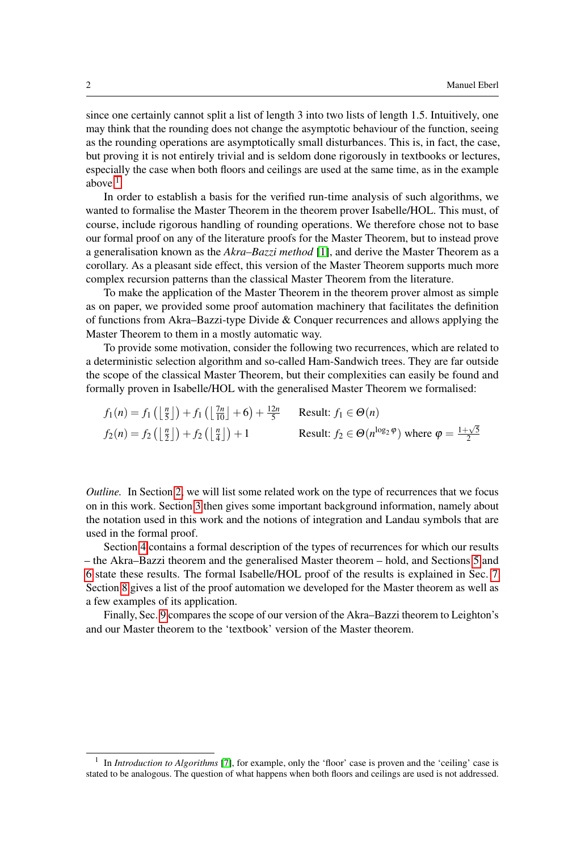since one certainly cannot split a list of length 3 into two lists of length 1.5. Intuitively, one may think that the rounding does not change the asymptotic behaviour of the function, seeing as the rounding operations are asymptotically small disturbances. This is, in fact, the case, but proving it is not entirely trivial and is seldom done rigorously in textbooks or lectures, especially the case when both floors and ceilings are used at the same time, as in the example above $<sup>1</sup>$  $<sup>1</sup>$  $<sup>1</sup>$ </sup>

In order to establish a basis for the verified run-time analysis of such algorithms, we wanted to formalise the Master Theorem in the theorem prover Isabelle/HOL. This must, of course, include rigorous handling of rounding operations. We therefore chose not to base our formal proof on any of the literature proofs for the Master Theorem, but to instead prove a generalisation known as the *Akra–Bazzi method* [\[1\]](#page-25-0), and derive the Master Theorem as a corollary. As a pleasant side effect, this version of the Master Theorem supports much more complex recursion patterns than the classical Master Theorem from the literature.

To make the application of the Master Theorem in the theorem prover almost as simple as on paper, we provided some proof automation machinery that facilitates the definition of functions from Akra–Bazzi-type Divide & Conquer recurrences and allows applying the Master Theorem to them in a mostly automatic way.

To provide some motivation, consider the following two recurrences, which are related to a deterministic selection algorithm and so-called Ham-Sandwich trees. They are far outside the scope of the classical Master Theorem, but their complexities can easily be found and formally proven in Isabelle/HOL with the generalised Master Theorem we formalised:

$$
f_1(n) = f_1\left(\left\lfloor \frac{n}{5} \right\rfloor\right) + f_1\left(\left\lfloor \frac{7n}{10} \right\rfloor + 6\right) + \frac{12n}{5} \quad \text{Result: } f_1 \in \Theta(n)
$$
\n
$$
f_2(n) = f_2\left(\left\lfloor \frac{n}{2} \right\rfloor\right) + f_2\left(\left\lfloor \frac{n}{4} \right\rfloor\right) + 1 \quad \text{Result: } f_2 \in \Theta(n^{\log_2 \phi}) \text{ where } \phi = \frac{1 + \sqrt{5}}{2}
$$

*Outline.* In Section [2,](#page-2-0) we will list some related work on the type of recurrences that we focus on in this work. Section [3](#page-2-1) then gives some important background information, namely about the notation used in this work and the notions of integration and Landau symbols that are used in the formal proof.

Section [4](#page-6-0) contains a formal description of the types of recurrences for which our results – the Akra–Bazzi theorem and the generalised Master theorem – hold, and Sections [5](#page-7-0) and [6](#page-9-0) state these results. The formal Isabelle/HOL proof of the results is explained in Sec. [7.](#page-10-0) Section [8](#page-18-0) gives a list of the proof automation we developed for the Master theorem as well as a few examples of its application.

Finally, Sec. [9](#page-23-0) compares the scope of our version of the Akra–Bazzi theorem to Leighton's and our Master theorem to the 'textbook' version of the Master theorem.

<span id="page-1-0"></span><sup>&</sup>lt;sup>1</sup> In *Introduction to Algorithms* [\[7\]](#page-25-2), for example, only the 'floor' case is proven and the 'ceiling' case is stated to be analogous. The question of what happens when both floors and ceilings are used is not addressed.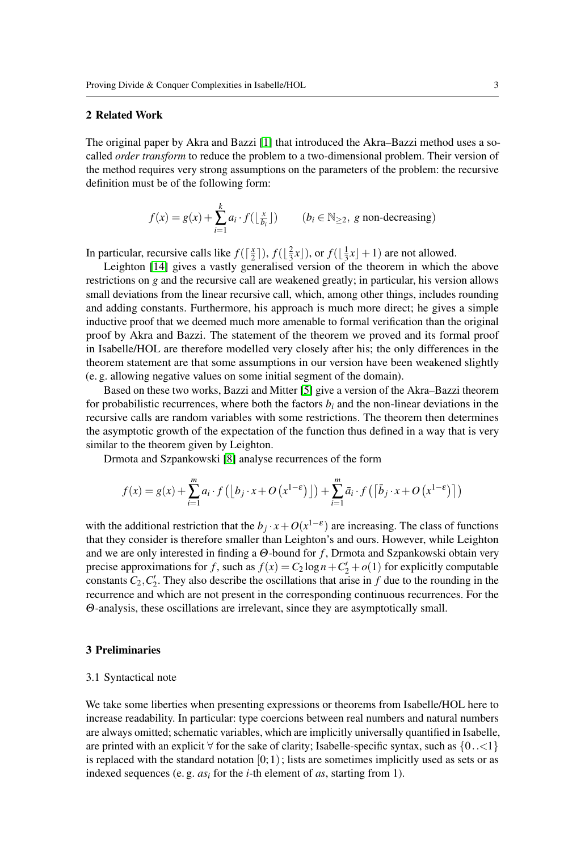### <span id="page-2-0"></span>2 Related Work

The original paper by Akra and Bazzi [\[1\]](#page-25-0) that introduced the Akra–Bazzi method uses a socalled *order transform* to reduce the problem to a two-dimensional problem. Their version of the method requires very strong assumptions on the parameters of the problem: the recursive definition must be of the following form:

$$
f(x) = g(x) + \sum_{i=1}^{k} a_i \cdot f\left(\left\lfloor \frac{x}{b_i} \right\rfloor\right) \qquad (b_i \in \mathbb{N}_{\geq 2}, \ g \text{ non-decreasing})
$$

In particular, recursive calls like  $f(\left[\frac{x}{2}\right])$ ,  $f(\left[\frac{2}{3}x\right])$ , or  $f(\left[\frac{1}{3}x\right]+1)$  are not allowed.

Leighton [\[14\]](#page-25-1) gives a vastly generalised version of the theorem in which the above restrictions on *g* and the recursive call are weakened greatly; in particular, his version allows small deviations from the linear recursive call, which, among other things, includes rounding and adding constants. Furthermore, his approach is much more direct; he gives a simple inductive proof that we deemed much more amenable to formal verification than the original proof by Akra and Bazzi. The statement of the theorem we proved and its formal proof in Isabelle/HOL are therefore modelled very closely after his; the only differences in the theorem statement are that some assumptions in our version have been weakened slightly (e. g. allowing negative values on some initial segment of the domain).

Based on these two works, Bazzi and Mitter [\[5\]](#page-25-3) give a version of the Akra–Bazzi theorem for probabilistic recurrences, where both the factors  $b_i$  and the non-linear deviations in the recursive calls are random variables with some restrictions. The theorem then determines the asymptotic growth of the expectation of the function thus defined in a way that is very similar to the theorem given by Leighton.

Drmota and Szpankowski [\[8\]](#page-25-4) analyse recurrences of the form

$$
f(x) = g(x) + \sum_{i=1}^{m} a_i \cdot f\left(\left\lfloor b_j \cdot x + O\left(x^{1-\epsilon}\right)\right\rfloor\right) + \sum_{i=1}^{m} \bar{a}_i \cdot f\left(\left\lceil \bar{b}_j \cdot x + O\left(x^{1-\epsilon}\right)\right\rceil\right)
$$

with the additional restriction that the  $b_j \cdot x + O(x^{1-\epsilon})$  are increasing. The class of functions that they consider is therefore smaller than Leighton's and ours. However, while Leighton and we are only interested in finding a Θ-bound for *f* , Drmota and Szpankowski obtain very precise approximations for *f*, such as  $f(x) = C_2 \log n + C_2' + o(1)$  for explicitly computable constants  $C_2$ ,  $C_2'$ . They also describe the oscillations that arise in *f* due to the rounding in the recurrence and which are not present in the corresponding continuous recurrences. For the Θ-analysis, these oscillations are irrelevant, since they are asymptotically small.

### <span id="page-2-1"></span>3 Preliminaries

#### 3.1 Syntactical note

We take some liberties when presenting expressions or theorems from Isabelle/HOL here to increase readability. In particular: type coercions between real numbers and natural numbers are always omitted; schematic variables, which are implicitly universally quantified in Isabelle, are printed with an explicit  $\forall$  for the sake of clarity; Isabelle-specific syntax, such as  $\{0..\langle 1 \}$ is replaced with the standard notation  $[0; 1)$ ; lists are sometimes implicitly used as sets or as indexed sequences (e. g. *as<sup>i</sup>* for the *i*-th element of *as*, starting from 1).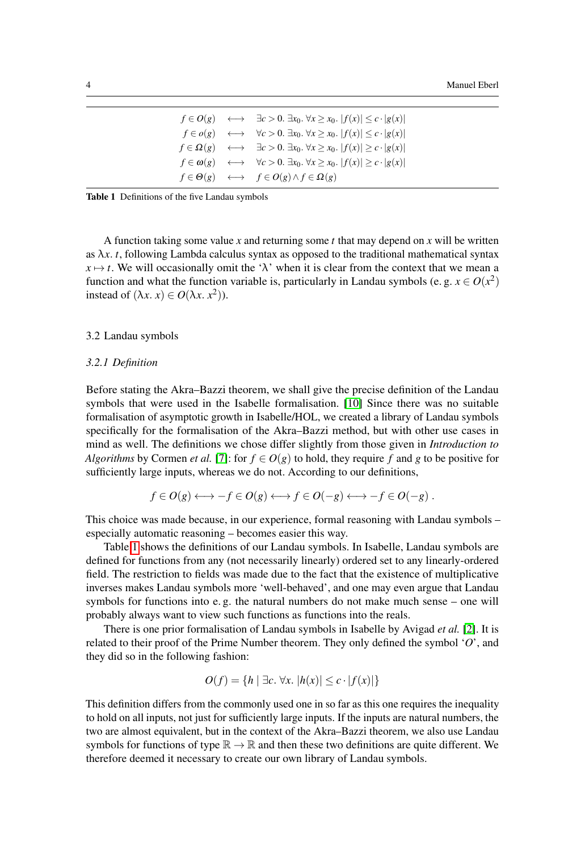|  | $f \in O(g) \iff \exists c > 0. \exists x_0. \forall x > x_0.  f(x)  \leq c \cdot  g(x) $                        |
|--|------------------------------------------------------------------------------------------------------------------|
|  | $f \in o(g) \iff \forall c > 0$ . $\exists x_0, \forall x \geq x_0$ . $ f(x)  \leq c \cdot  g(x) $               |
|  | $f \in \Omega(g) \longleftrightarrow \exists c > 0. \exists x_0. \forall x \geq x_0.  f(x)  \geq c \cdot  g(x) $ |
|  | $f \in \omega(g) \iff \forall c > 0$ . $\exists x_0, \forall x \geq x_0$ . $ f(x)  \geq c \cdot  g(x) $          |
|  | $f \in \Theta(g) \iff f \in O(g) \land f \in \Omega(g)$                                                          |

<span id="page-3-0"></span>Table 1 Definitions of the five Landau symbols

A function taking some value *x* and returning some *t* that may depend on *x* will be written as  $\lambda x$ . *t*, following Lambda calculus syntax as opposed to the traditional mathematical syntax  $x \mapsto t$ . We will occasionally omit the ' $\lambda$ ' when it is clear from the context that we mean a function and what the function variable is, particularly in Landau symbols (e. g.  $x \in O(x^2)$ ) instead of  $(\lambda x. x) \in O(\lambda x. x^2)$ .

#### 3.2 Landau symbols

#### *3.2.1 Definition*

Before stating the Akra–Bazzi theorem, we shall give the precise definition of the Landau symbols that were used in the Isabelle formalisation. [\[10\]](#page-25-5) Since there was no suitable formalisation of asymptotic growth in Isabelle/HOL, we created a library of Landau symbols specifically for the formalisation of the Akra–Bazzi method, but with other use cases in mind as well. The definitions we chose differ slightly from those given in *Introduction to Algorithms* by Cormen *et al.* [\[7\]](#page-25-2): for  $f \in O(g)$  to hold, they require f and g to be positive for sufficiently large inputs, whereas we do not. According to our definitions,

$$
f \in O(g) \longleftrightarrow -f \in O(g) \longleftrightarrow f \in O(-g) \longleftrightarrow -f \in O(-g) .
$$

This choice was made because, in our experience, formal reasoning with Landau symbols – especially automatic reasoning – becomes easier this way.

Table [1](#page-3-0) shows the definitions of our Landau symbols. In Isabelle, Landau symbols are defined for functions from any (not necessarily linearly) ordered set to any linearly-ordered field. The restriction to fields was made due to the fact that the existence of multiplicative inverses makes Landau symbols more 'well-behaved', and one may even argue that Landau symbols for functions into e. g. the natural numbers do not make much sense – one will probably always want to view such functions as functions into the reals.

There is one prior formalisation of Landau symbols in Isabelle by Avigad *et al.* [\[2\]](#page-25-6). It is related to their proof of the Prime Number theorem. They only defined the symbol '*O*', and they did so in the following fashion:

$$
O(f) = \{ h \mid \exists c. \forall x. |h(x)| \le c \cdot |f(x)| \}
$$

This definition differs from the commonly used one in so far as this one requires the inequality to hold on all inputs, not just for sufficiently large inputs. If the inputs are natural numbers, the two are almost equivalent, but in the context of the Akra–Bazzi theorem, we also use Landau symbols for functions of type  $\mathbb{R} \to \mathbb{R}$  and then these two definitions are quite different. We therefore deemed it necessary to create our own library of Landau symbols.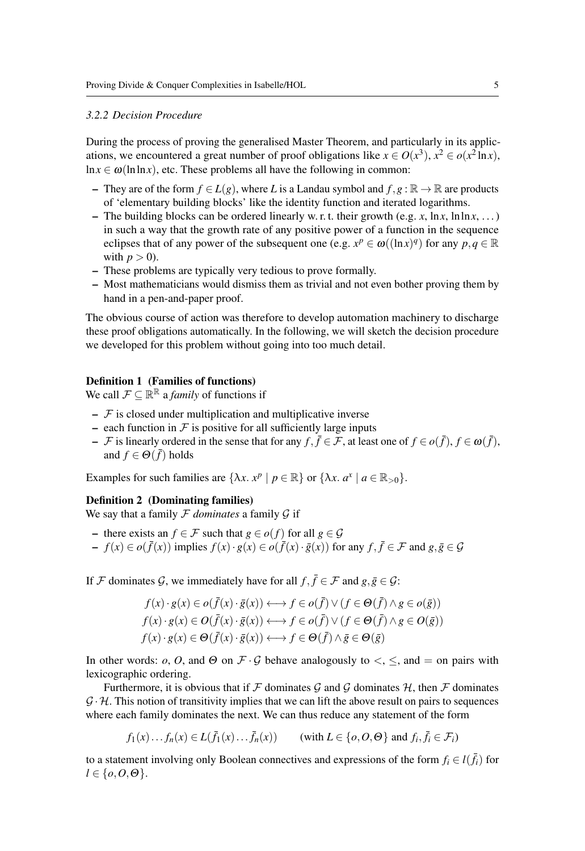### <span id="page-4-0"></span>*3.2.2 Decision Procedure*

During the process of proving the generalised Master Theorem, and particularly in its applications, we encountered a great number of proof obligations like  $x \in O(x^3)$ ,  $x^2 \in o(x^2 \ln x)$ ,  $ln x \in \omega(ln ln x)$ , etc. These problems all have the following in common:

- They are of the form  $f \in L(g)$ , where *L* is a Landau symbol and  $f, g : \mathbb{R} \to \mathbb{R}$  are products of 'elementary building blocks' like the identity function and iterated logarithms.
- The building blocks can be ordered linearly w. r. t. their growth (e.g.  $x$ ,  $\ln x$ ,  $\ln \ln x$ , ...) in such a way that the growth rate of any positive power of a function in the sequence eclipses that of any power of the subsequent one (e.g.  $x^p \in \omega((\ln x)^q)$  for any  $p, q \in \mathbb{R}$ ) with  $p > 0$ ).
- These problems are typically very tedious to prove formally.
- Most mathematicians would dismiss them as trivial and not even bother proving them by hand in a pen-and-paper proof.

The obvious course of action was therefore to develop automation machinery to discharge these proof obligations automatically. In the following, we will sketch the decision procedure we developed for this problem without going into too much detail.

# Definition 1 (Families of functions)

We call  $\mathcal{F} \subseteq \mathbb{R}^{\mathbb{R}}$  a *family* of functions if

- $\mathcal F$  is closed under multiplication and multiplicative inverse
- each function in  $\mathcal F$  is positive for all sufficiently large inputs
- $\mathcal{F}$  is linearly ordered in the sense that for any  $f, \overline{f} \in \mathcal{F}$ , at least one of  $f \in o(\overline{f})$ ,  $f \in \omega(\overline{f})$ , and  $f \in \Theta(\bar{f})$  holds

Examples for such families are  $\{\lambda x. x^p \mid p \in \mathbb{R}\}$  or  $\{\lambda x. a^x \mid a \in \mathbb{R}_{>0}\}.$ 

# Definition 2 (Dominating families)

We say that a family  $F$  *dominates* a family  $G$  if

- there exists an *f* ∈ F such that *g* ∈ *o*(*f*) for all *g* ∈ G
- $f(x) \in o(f(x))$  implies  $f(x) \cdot g(x) \in o(f(x) \cdot \overline{g}(x))$  for any  $f, \overline{f} \in \mathcal{F}$  and  $g, \overline{g} \in \mathcal{G}$

If F dominates G, we immediately have for all  $f, \bar{f} \in \mathcal{F}$  and  $g, \bar{g} \in \mathcal{G}$ :

$$
f(x) \cdot g(x) \in o(\bar{f}(x) \cdot \bar{g}(x)) \longleftrightarrow f \in o(\bar{f}) \vee (f \in \Theta(\bar{f}) \wedge g \in o(\bar{g}))
$$
  

$$
f(x) \cdot g(x) \in O(\bar{f}(x) \cdot \bar{g}(x)) \longleftrightarrow f \in o(\bar{f}) \vee (f \in \Theta(\bar{f}) \wedge g \in O(\bar{g}))
$$
  

$$
f(x) \cdot g(x) \in \Theta(\bar{f}(x) \cdot \bar{g}(x)) \longleftrightarrow f \in \Theta(\bar{f}) \wedge \bar{g} \in \Theta(\bar{g})
$$

In other words: *o*, *O*, and  $\Theta$  on  $\mathcal{F} \cdot \mathcal{G}$  behave analogously to  $\lt$ ,  $\leq$ , and  $=$  on pairs with lexicographic ordering.

Furthermore, it is obvious that if  $\mathcal F$  dominates  $\mathcal G$  and  $\mathcal G$  dominates  $\mathcal H$ , then  $\mathcal F$  dominates  $G \cdot H$ . This notion of transitivity implies that we can lift the above result on pairs to sequences where each family dominates the next. We can thus reduce any statement of the form

$$
f_1(x) \dots f_n(x) \in L(\bar{f}_1(x) \dots \bar{f}_n(x))
$$
 (with  $L \in \{o, O, \Theta\}$  and  $f_i, \bar{f}_i \in \mathcal{F}_i$ )

to a statement involving only Boolean connectives and expressions of the form  $f_i \in l(\bar{f}_i)$  for  $l \in \{o, O, \Theta\}.$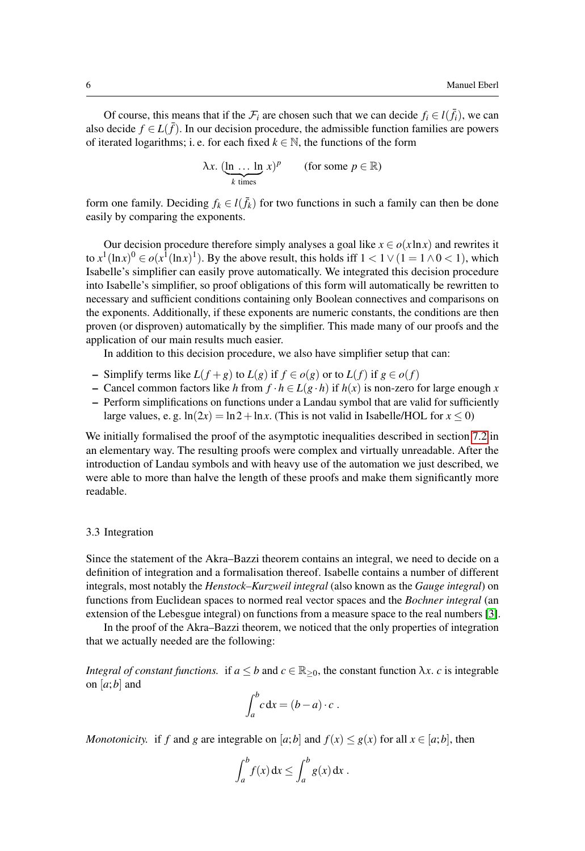Of course, this means that if the  $\mathcal{F}_i$  are chosen such that we can decide  $f_i \in l(\bar{f}_i)$ , we can also decide  $f \in L(\bar{f})$ . In our decision procedure, the admissible function families are powers of iterated logarithms; i. e. for each fixed  $k \in \mathbb{N}$ , the functions of the form

$$
\lambda x. \left( \underbrace{\ln \dots \ln}_{k \text{ times}} x \right)^p \qquad \text{(for some } p \in \mathbb{R})
$$

form one family. Deciding  $f_k \in l(\bar{f}_k)$  for two functions in such a family can then be done easily by comparing the exponents.

Our decision procedure therefore simply analyses a goal like  $x \in o(x \ln x)$  and rewrites it to  $x^1(\ln x)^0 \in o(x^1(\ln x)^1)$ . By the above result, this holds iff  $1 < 1 \vee (1 = 1 \wedge 0 < 1)$ , which Isabelle's simplifier can easily prove automatically. We integrated this decision procedure into Isabelle's simplifier, so proof obligations of this form will automatically be rewritten to necessary and sufficient conditions containing only Boolean connectives and comparisons on the exponents. Additionally, if these exponents are numeric constants, the conditions are then proven (or disproven) automatically by the simplifier. This made many of our proofs and the application of our main results much easier.

In addition to this decision procedure, we also have simplifier setup that can:

- − Simplify terms like  $L(f+g)$  to  $L(g)$  if  $f \in o(g)$  or to  $L(f)$  if  $g \in o(f)$
- Cancel common factors like *h* from *f* · *h* ∈ *L*(*g* · *h*) if *h*(*x*) is non-zero for large enough *x*
- Perform simplifications on functions under a Landau symbol that are valid for sufficiently large values, e. g.  $ln(2x) = ln 2 + ln x$ . (This is not valid in Isabelle/HOL for  $x < 0$ )

We initially formalised the proof of the asymptotic inequalities described in section [7.2](#page-11-0) in an elementary way. The resulting proofs were complex and virtually unreadable. After the introduction of Landau symbols and with heavy use of the automation we just described, we were able to more than halve the length of these proofs and make them significantly more readable.

# <span id="page-5-0"></span>3.3 Integration

Since the statement of the Akra–Bazzi theorem contains an integral, we need to decide on a definition of integration and a formalisation thereof. Isabelle contains a number of different integrals, most notably the *Henstock–Kurzweil integral* (also known as the *Gauge integral*) on functions from Euclidean spaces to normed real vector spaces and the *Bochner integral* (an extension of the Lebesgue integral) on functions from a measure space to the real numbers [\[3\]](#page-25-7).

In the proof of the Akra–Bazzi theorem, we noticed that the only properties of integration that we actually needed are the following:

*Integral of constant functions.* if  $a \leq b$  and  $c \in \mathbb{R}_{>0}$ , the constant function  $\lambda x$ . *c* is integrable on [*a*;*b*] and

$$
\int_a^b c \, dx = (b-a) \cdot c \; .
$$

*Monotonicity.* if *f* and *g* are integrable on [*a*;*b*] and  $f(x) \le g(x)$  for all  $x \in [a, b]$ , then

$$
\int_a^b f(x) dx \le \int_a^b g(x) dx.
$$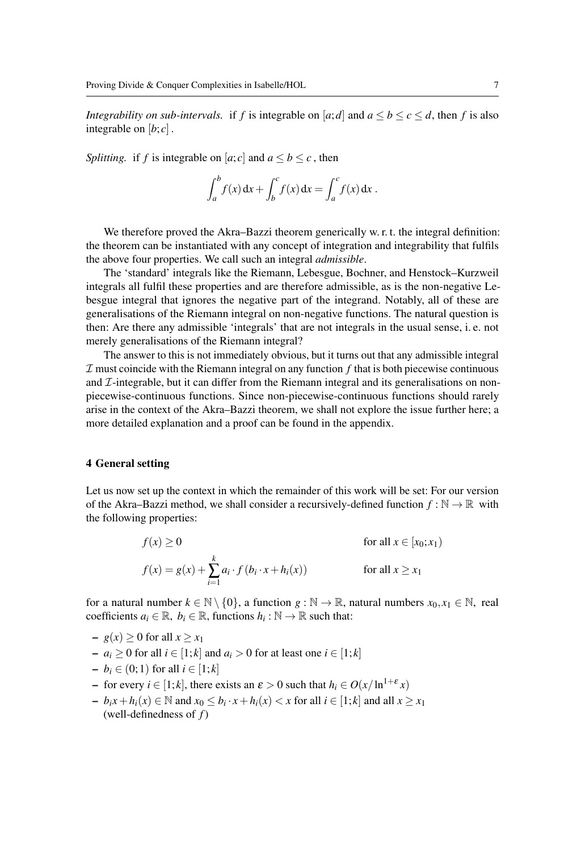*Integrability on sub-intervals.* if *f* is integrable on [*a*;*d*] and  $a \le b \le c \le d$ , then *f* is also integrable on  $[b;c]$ .

*Splitting.* if *f* is integrable on [*a*; *c*] and  $a \le b \le c$ , then

$$
\int_a^b f(x) dx + \int_b^c f(x) dx = \int_a^c f(x) dx.
$$

We therefore proved the Akra–Bazzi theorem generically w.r.t. the integral definition: the theorem can be instantiated with any concept of integration and integrability that fulfils the above four properties. We call such an integral *admissible*.

The 'standard' integrals like the Riemann, Lebesgue, Bochner, and Henstock–Kurzweil integrals all fulfil these properties and are therefore admissible, as is the non-negative Lebesgue integral that ignores the negative part of the integrand. Notably, all of these are generalisations of the Riemann integral on non-negative functions. The natural question is then: Are there any admissible 'integrals' that are not integrals in the usual sense, i. e. not merely generalisations of the Riemann integral?

The answer to this is not immediately obvious, but it turns out that any admissible integral  $\mathcal I$  must coincide with the Riemann integral on any function  $f$  that is both piecewise continuous and  $\mathcal{I}$ -integrable, but it can differ from the Riemann integral and its generalisations on nonpiecewise-continuous functions. Since non-piecewise-continuous functions should rarely arise in the context of the Akra–Bazzi theorem, we shall not explore the issue further here; a more detailed explanation and a proof can be found in the appendix.

# <span id="page-6-0"></span>4 General setting

Let us now set up the context in which the remainder of this work will be set: For our version of the Akra–Bazzi method, we shall consider a recursively-defined function  $f : \mathbb{N} \to \mathbb{R}$  with the following properties:

$$
f(x) \ge 0 \qquad \text{for all } x \in [x_0; x_1)
$$
  

$$
f(x) = g(x) + \sum_{i=1}^{k} a_i \cdot f(b_i \cdot x + h_i(x)) \qquad \text{for all } x \ge x_1
$$

for a natural number  $k \in \mathbb{N} \setminus \{0\}$ , a function  $g : \mathbb{N} \to \mathbb{R}$ , natural numbers  $x_0, x_1 \in \mathbb{N}$ , real coefficients  $a_i \in \mathbb{R}$ ,  $b_i \in \mathbb{R}$ , functions  $h_i : \mathbb{N} \to \mathbb{R}$  such that:

- $-$  *g*(*x*) ≥ 0 for all *x* ≥ *x*<sub>1</sub>
- *a<sup>i</sup>* ≥ 0 for all *i* ∈ [1; *k*] and *a<sup>i</sup>* > 0 for at least one *i* ∈ [1; *k*]
- $b_i \in (0; 1)$  for all *i* ∈ [1; *k*]
- $\leq$  − for every *i* ∈ [1; *k*], there exists an  $\varepsilon$  > 0 such that  $h_i$  ∈ *O*(*x*/ln<sup>1+ε</sup>*x*)
- *→*  $b_i x + h_i(x) \in \mathbb{N}$  and  $x_0 \le b_i \cdot x + h_i(x) < x$  for all  $i \in [1; k]$  and all  $x \ge x_1$ (well-definedness of *f*)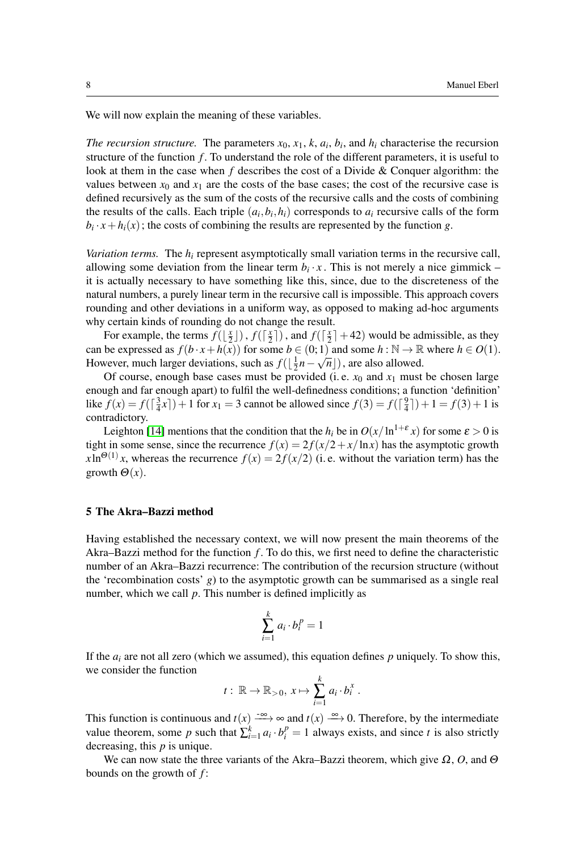We will now explain the meaning of these variables.

*The recursion structure.* The parameters  $x_0, x_1, k, a_i, b_i$ , and  $h_i$  characterise the recursion structure of the function *f* . To understand the role of the different parameters, it is useful to look at them in the case when *f* describes the cost of a Divide & Conquer algorithm: the values between  $x_0$  and  $x_1$  are the costs of the base cases; the cost of the recursive case is defined recursively as the sum of the costs of the recursive calls and the costs of combining the results of the calls. Each triple  $(a_i, b_i, h_i)$  corresponds to  $a_i$  recursive calls of the form  $b_i \cdot x + h_i(x)$ ; the costs of combining the results are represented by the function *g*.

*Variation terms.* The *h<sup>i</sup>* represent asymptotically small variation terms in the recursive call, allowing some deviation from the linear term  $b_i \cdot x$ . This is not merely a nice gimmick – it is actually necessary to have something like this, since, due to the discreteness of the natural numbers, a purely linear term in the recursive call is impossible. This approach covers rounding and other deviations in a uniform way, as opposed to making ad-hoc arguments why certain kinds of rounding do not change the result.

For example, the terms  $f(\frac{x}{2})$ ,  $f(\frac{x}{2})$ , and  $f(\frac{x}{2})+42$ ) would be admissible, as they can be expressed as  $f(b \cdot x + h(x))$  for some  $b \in (0,1)$  and some  $h : \mathbb{N} \to \mathbb{R}$  where  $h \in O(1)$ . However, much larger deviations, such as  $f(\lfloor \frac{1}{2}n - \sqrt{n} \rfloor)$ , are also allowed.

Of course, enough base cases must be provided (i.e.  $x_0$  and  $x_1$  must be chosen large enough and far enough apart) to fulfil the well-definedness conditions; a function 'definition' like  $f(x) = f(\frac{3}{4}x) + 1$  for  $x_1 = 3$  cannot be allowed since  $f(3) = f(\frac{9}{4}) + 1 = f(3) + 1$  is contradictory.

Leighton [\[14\]](#page-25-1) mentions that the condition that the  $h_i$  be in  $O(x/\ln^{1+\epsilon} x)$  for some  $\varepsilon > 0$  is tight in some sense, since the recurrence  $f(x) = 2f(x/2 + x/\ln x)$  has the asymptotic growth  $x \ln^{\Theta(1)} x$ , whereas the recurrence  $f(x) = 2f(x/2)$  (i.e. without the variation term) has the growth  $\Theta(x)$ .

### <span id="page-7-0"></span>5 The Akra–Bazzi method

Having established the necessary context, we will now present the main theorems of the Akra–Bazzi method for the function *f* . To do this, we first need to define the characteristic number of an Akra–Bazzi recurrence: The contribution of the recursion structure (without the 'recombination costs' *g*) to the asymptotic growth can be summarised as a single real number, which we call *p*. This number is defined implicitly as

$$
\sum_{i=1}^k a_i \cdot b_i^p = 1
$$

If the  $a_i$  are not all zero (which we assumed), this equation defines  $p$  uniquely. To show this, we consider the function

$$
t: \mathbb{R} \to \mathbb{R}_{>0}, x \mapsto \sum_{i=1}^k a_i \cdot b_i^x
$$
.

This function is continuous and  $t(x) \stackrel{-\infty}{\longrightarrow} \infty$  and  $t(x) \stackrel{\infty}{\longrightarrow} 0$ . Therefore, by the intermediate value theorem, some *p* such that  $\sum_{i=1}^{k} a_i \cdot b_i^p = 1$  always exists, and since *t* is also strictly decreasing, this *p* is unique.

<span id="page-7-1"></span>We can now state the three variants of the Akra–Bazzi theorem, which give Ω, *O*, and Θ bounds on the growth of *f* :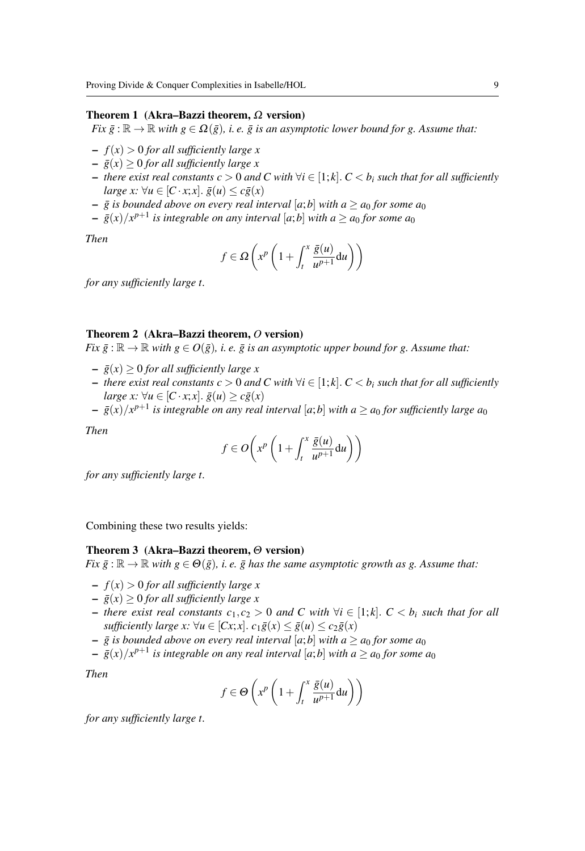### Theorem 1 (Akra–Bazzi theorem,  $\Omega$  version)

*Fix*  $\bar{g}$ :  $\mathbb{R} \to \mathbb{R}$  *with*  $g \in \Omega(\bar{g})$ *, i.e.*  $\bar{g}$  *is an asymptotic lower bound for g. Assume that:* 

- $f(x) > 0$  *for all sufficiently large x*
- $-\bar{g}(x) > 0$  *for all sufficiently large x*
- *there exist real constants c* > 0 *and C with* ∀*i* ∈ [1; *k*]. *C* < *b<sup>i</sup> such that for all sufficiently*  $large x: \forall u \in [C \cdot x; x] \cdot \overline{g}(u) \leq c\overline{g}(x)$
- $-\bar{g}$  *is bounded above on every real interval* [*a*;*b*] *with a* > *a*<sub>0</sub> *for some a*<sub>0</sub>
- $g(x)/x^{p+1}$  *is integrable on any interval* [*a*;*b*] *with a*  $\geq a_0$  *for some a*<sub>0</sub>

*Then*

$$
f \in \Omega\left(x^p \left(1 + \int_t^x \frac{\bar{g}(u)}{u^{p+1}} du\right)\right)
$$

*for any sufficiently large t.*

### Theorem 2 (Akra–Bazzi theorem, *O* version)

*Fix*  $\bar{g}$ :  $\mathbb{R} \to \mathbb{R}$  *with*  $g \in O(\bar{g})$ *, i.e.*  $\bar{g}$  *is an asymptotic upper bound for g. Assume that:* 

- $-\bar{g}(x) > 0$  *for all sufficiently large x*
- *there exist real constants c* > 0 *and C with* ∀*i* ∈ [1; *k*]. *C* < *b<sup>i</sup> such that for all sufficiently*  $large x: \forall u \in [C \cdot x; x] \cdot \overline{g}(u) \geq c\overline{g}(x)$
- $\bar{g}(x)/x^{p+1}$  is integrable on any real interval  $[a;b]$  with a  $\geq$  a<sub>0</sub> for sufficiently large a<sub>0</sub>

*Then*

$$
f \in O\bigg(x^p \bigg(1 + \int_t^x \frac{\bar{g}(u)}{u^{p+1}} du\bigg)\bigg)
$$

*for any sufficiently large t.*

Combining these two results yields:

# Theorem 3 (Akra–Bazzi theorem, Θ version)

*Fix*  $\bar{g}$ :  $\mathbb{R} \to \mathbb{R}$  *with*  $g \in \Theta(\bar{g})$ *, i.e.*  $\bar{g}$  *has the same asymptotic growth as g. Assume that:* 

- $f(x) > 0$  *for all sufficiently large x*
- $-\bar{g}(x) \geq 0$  *for all sufficiently large x*
- $−$  *there exist real constants*  $c_1, c_2 > 0$  *and*  $C$  *with*  $\forall i \in [1; k]$ .  $C < b_i$  *such that for all sufficiently large x:*  $\forall u \in [Cx; x]$ .  $c_1 \overline{g}(x) \leq \overline{g}(u) \leq c_2 \overline{g}(x)$
- $\bar{g}$  *is bounded above on every real interval* [*a*;*b*] *with a*  $\geq a_0$  *for some a*<sub>0</sub>
- $-\bar{g}(x)/x^{p+1}$  is integrable on any real interval  $[a;b]$  with  $a \ge a_0$  for some  $a_0$

*Then*

$$
f \in \Theta\left(x^p \left(1 + \int_t^x \frac{\bar{g}(u)}{u^{p+1}} du\right)\right)
$$

*for any sufficiently large t.*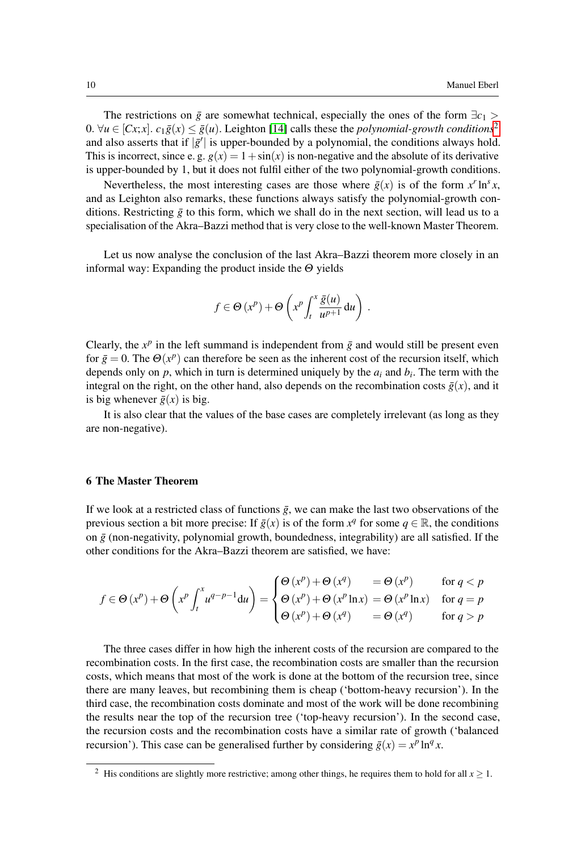The restrictions on  $\bar{g}$  are somewhat technical, especially the ones of the form  $\exists c_1 >$ 0. ∀*u* ∈ [Cx; *x*].  $c_1\bar{g}(x)$  ≤  $\bar{g}(u)$ . Leighton [\[14\]](#page-25-1) calls these the *polynomial-growth conditions*<sup>[2](#page-9-1)</sup> and also asserts that if  $|\bar{g}'|$  is upper-bounded by a polynomial, the conditions always hold. This is incorrect, since e. g.  $g(x) = 1 + \sin(x)$  is non-negative and the absolute of its derivative is upper-bounded by 1, but it does not fulfil either of the two polynomial-growth conditions.

Nevertheless, the most interesting cases are those where  $\bar{g}(x)$  is of the form  $x^r \ln^s x$ , and as Leighton also remarks, these functions always satisfy the polynomial-growth conditions. Restricting  $\bar{g}$  to this form, which we shall do in the next section, will lead us to a specialisation of the Akra–Bazzi method that is very close to the well-known Master Theorem.

Let us now analyse the conclusion of the last Akra–Bazzi theorem more closely in an informal way: Expanding the product inside the  $\Theta$  yields

$$
f \in \Theta(x^p) + \Theta\left(x^p \int_t^x \frac{\bar{g}(u)}{u^{p+1}} du\right).
$$

Clearly, the  $x^p$  in the left summand is independent from  $\bar{g}$  and would still be present even for  $\bar{g} = 0$ . The  $\Theta(x^p)$  can therefore be seen as the inherent cost of the recursion itself, which depends only on *p*, which in turn is determined uniquely by the *a<sup>i</sup>* and *b<sup>i</sup>* . The term with the integral on the right, on the other hand, also depends on the recombination costs  $\bar{g}(x)$ , and it is big whenever  $\bar{g}(x)$  is big.

It is also clear that the values of the base cases are completely irrelevant (as long as they are non-negative).

# <span id="page-9-0"></span>6 The Master Theorem

If we look at a restricted class of functions  $\bar{g}$ , we can make the last two observations of the previous section a bit more precise: If  $\bar{g}(x)$  is of the form  $x^q$  for some  $q \in \mathbb{R}$ , the conditions on  $\bar{g}$  (non-negativity, polynomial growth, boundedness, integrability) are all satisfied. If the other conditions for the Akra–Bazzi theorem are satisfied, we have:

$$
f \in \Theta(x^{p}) + \Theta\left(x^{p} \int_{t}^{x} u^{q-p-1} du\right) = \begin{cases} \Theta(x^{p}) + \Theta(x^{q}) &= \Theta(x^{p}) \quad \text{for } q < p \\ \Theta(x^{p}) + \Theta(x^{p} \ln x) &= \Theta(x^{p} \ln x) \quad \text{for } q = p \\ \Theta(x^{p}) + \Theta(x^{q}) &= \Theta(x^{q}) \quad \text{for } q > p \end{cases}
$$

The three cases differ in how high the inherent costs of the recursion are compared to the recombination costs. In the first case, the recombination costs are smaller than the recursion costs, which means that most of the work is done at the bottom of the recursion tree, since there are many leaves, but recombining them is cheap ('bottom-heavy recursion'). In the third case, the recombination costs dominate and most of the work will be done recombining the results near the top of the recursion tree ('top-heavy recursion'). In the second case, the recursion costs and the recombination costs have a similar rate of growth ('balanced recursion'). This case can be generalised further by considering  $\bar{g}(x) = x^p \ln^q x$ .

<span id="page-9-1"></span><sup>&</sup>lt;sup>2</sup> His conditions are slightly more restrictive; among other things, he requires them to hold for all  $x \ge 1$ .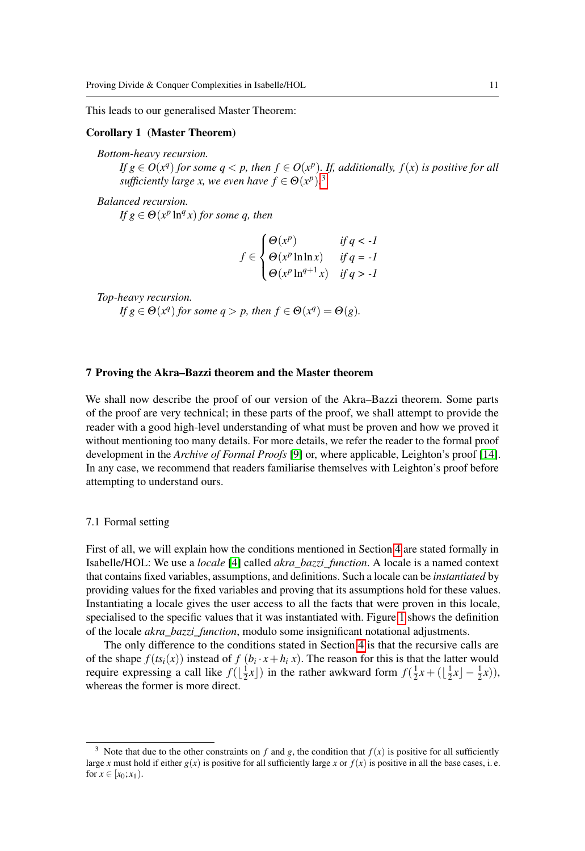This leads to our generalised Master Theorem:

#### Corollary 1 (Master Theorem)

*Bottom-heavy recursion.*

*If*  $g \in O(x^q)$  for some  $q < p$ , then  $f \in O(x^p)$ . If, additionally,  $f(x)$  is positive for all *sufficiently large x, we even have*  $f \in \Theta(x^p)$ *.*<sup>[3](#page-10-1)</sup>

*Balanced recursion. If*  $g \in \Theta(x^p \ln^q x)$  *for some q, then* 

$$
f \in \begin{cases} \Theta(x^p) & \text{if } q < -1 \\ \Theta(x^p \ln \ln x) & \text{if } q = -1 \\ \Theta(x^p \ln^{q+1} x) & \text{if } q > -1 \end{cases}
$$

*Top-heavy recursion.*

*If*  $g \in \Theta(x^q)$  for some  $q > p$ , then  $f \in \Theta(x^q) = \Theta(g)$ .

#### <span id="page-10-0"></span>7 Proving the Akra–Bazzi theorem and the Master theorem

We shall now describe the proof of our version of the Akra–Bazzi theorem. Some parts of the proof are very technical; in these parts of the proof, we shall attempt to provide the reader with a good high-level understanding of what must be proven and how we proved it without mentioning too many details. For more details, we refer the reader to the formal proof development in the *Archive of Formal Proofs* [\[9\]](#page-25-8) or, where applicable, Leighton's proof [\[14\]](#page-25-1). In any case, we recommend that readers familiarise themselves with Leighton's proof before attempting to understand ours.

### <span id="page-10-2"></span>7.1 Formal setting

First of all, we will explain how the conditions mentioned in Section [4](#page-6-0) are stated formally in Isabelle/HOL: We use a *locale* [\[4\]](#page-25-9) called *akra\_bazzi\_function*. A locale is a named context that contains fixed variables, assumptions, and definitions. Such a locale can be *instantiated* by providing values for the fixed variables and proving that its assumptions hold for these values. Instantiating a locale gives the user access to all the facts that were proven in this locale, specialised to the specific values that it was instantiated with. Figure [1](#page-11-1) shows the definition of the locale *akra\_bazzi\_function*, modulo some insignificant notational adjustments.

The only difference to the conditions stated in Section [4](#page-6-0) is that the recursive calls are of the shape  $f(ts_i(x))$  instead of  $f(b_i \cdot x + h_i x)$ . The reason for this is that the latter would require expressing a call like  $f(\frac{1}{2}x)$  in the rather awkward form  $f(\frac{1}{2}x + (\frac{1}{2}x) - \frac{1}{2}x)$ , whereas the former is more direct.

<span id="page-10-1"></span><sup>&</sup>lt;sup>3</sup> Note that due to the other constraints on  $f$  and  $g$ , the condition that  $f(x)$  is positive for all sufficiently large *x* must hold if either  $g(x)$  is positive for all sufficiently large *x* or  $f(x)$  is positive in all the base cases, i.e. for  $x \in [x_0; x_1)$ .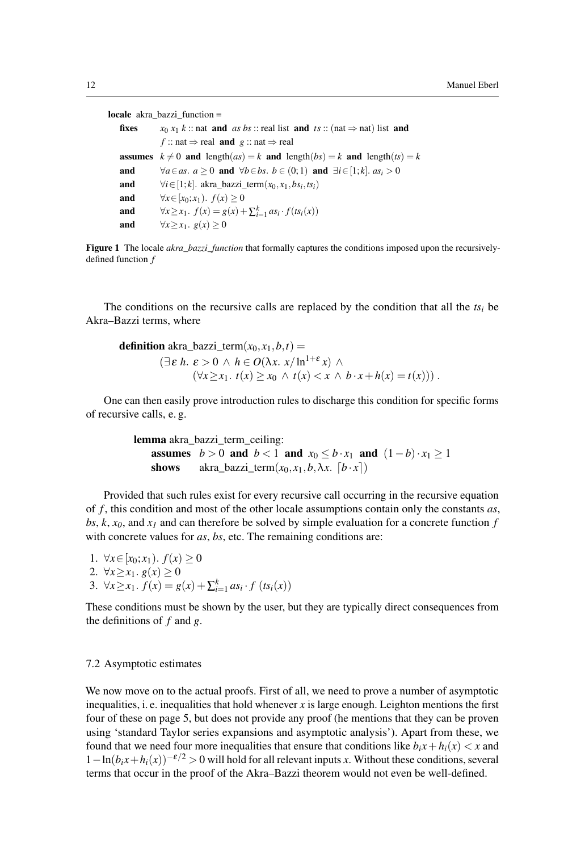| <b>locale</b> akra bazzi function = |  |  |
|-------------------------------------|--|--|
|-------------------------------------|--|--|

| fixes | $x_0$ $x_1$ k :: nat and as bs :: real list and ts :: (nat $\Rightarrow$ nat) list and            |
|-------|---------------------------------------------------------------------------------------------------|
|       | f :: nat $\Rightarrow$ real and g :: nat $\Rightarrow$ real                                       |
|       | assumes $k \neq 0$ and length $(as) = k$ and length $(bs) = k$ and length $(ts) = k$              |
| and   | $\forall a \in as. a > 0$ and $\forall b \in bs. b \in (0,1)$ and $\exists i \in [1;k]. as_i > 0$ |
| and   | $\forall i \in [1; k]$ . akra_bazzi_term $(x_0, x_1, bs_i, ts_i)$                                 |
| and   | $\forall x \in [x_0; x_1). \ f(x) > 0$                                                            |
| and   | $\forall x > x_1$ , $f(x) = g(x) + \sum_{i=1}^{k} as_i \cdot f(ts_i(x))$                          |
| and   | $\forall x > x_1. g(x) > 0$                                                                       |

<span id="page-11-1"></span>Figure 1 The locale *akra\_bazzi\_function* that formally captures the conditions imposed upon the recursivelydefined function *f*

The conditions on the recursive calls are replaced by the condition that all the  $ts_i$  be Akra–Bazzi terms, where

definition akra\_bazzi\_term $(x_0, x_1, b, t)$  =  $(\exists \varepsilon \ h. \ \varepsilon > 0 \ \land \ h \in O(\lambda x. \ x/\ln^{1+\varepsilon} x) \ \land$  $(\forall x > x_1, t(x) > x_0 \land t(x) < x \land b \cdot x + h(x) = t(x))$ .

One can then easily prove introduction rules to discharge this condition for specific forms of recursive calls, e. g.

> lemma akra\_bazzi\_term\_ceiling: assumes *b* > 0 and *b* < 1 and  $x_0 \leq b \cdot x_1$  and  $(1-b) \cdot x_1 \geq 1$ <br>shows akra bazzi term( $x_0, x_1, b, \lambda x$ , [*b* · *x*]) akra bazzi term $(x_0, x_1, b, \lambda x, [b \cdot x])$

Provided that such rules exist for every recursive call occurring in the recursive equation of *f* , this condition and most of the other locale assumptions contain only the constants *as*,  $bs, k, x_0$ , and  $x_1$  and can therefore be solved by simple evaluation for a concrete function  $f$ with concrete values for *as*, *bs*, etc. The remaining conditions are:

1. ∀*x*∈[*x*<sub>0</sub>; *x*<sub>1</sub>). *f*(*x*) ≥ 0 2.  $\forall x \geq x_1$ .  $g(x) \geq 0$ 3.  $\forall x \ge x_1$ .  $f(x) = g(x) + \sum_{i=1}^k as_i \cdot f(ts_i(x))$ 

These conditions must be shown by the user, but they are typically direct consequences from the definitions of *f* and *g*.

#### <span id="page-11-0"></span>7.2 Asymptotic estimates

<span id="page-11-2"></span>We now move on to the actual proofs. First of all, we need to prove a number of asymptotic inequalities, i. e. inequalities that hold whenever *x* is large enough. Leighton mentions the first four of these on page 5, but does not provide any proof (he mentions that they can be proven using 'standard Taylor series expansions and asymptotic analysis'). Apart from these, we found that we need four more inequalities that ensure that conditions like  $b_i x + h_i(x) < x$  and  $1-\ln(b_i x+h_i(x))^{-\epsilon/2} > 0$  will hold for all relevant inputs *x*. Without these conditions, several terms that occur in the proof of the Akra–Bazzi theorem would not even be well-defined.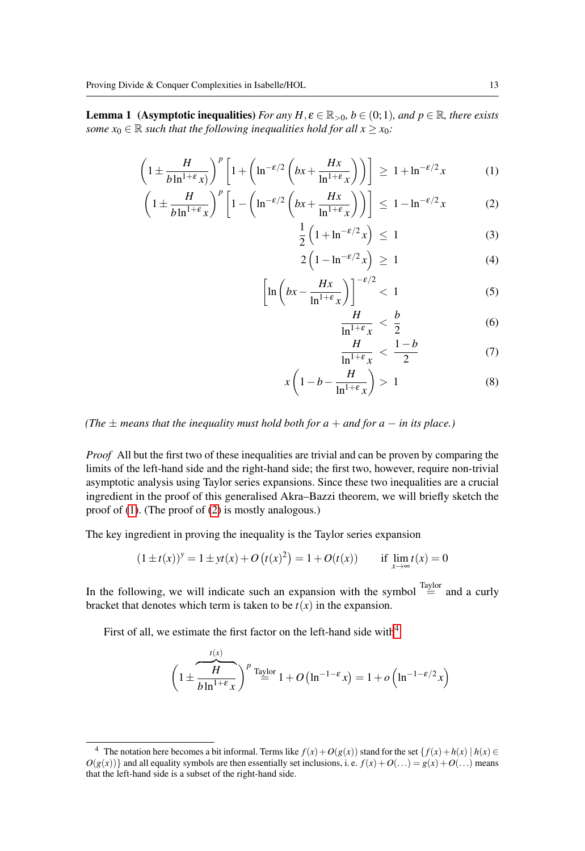**Lemma 1** (Asymptotic inequalities) *For any*  $H, \varepsilon \in \mathbb{R}_{>0}$ ,  $b \in (0, 1)$ *, and*  $p \in \mathbb{R}$ *, there exists some*  $x_0 \in \mathbb{R}$  *such that the following inequalities hold for all*  $x > x_0$ *:* 

$$
\left(1 \pm \frac{H}{b \ln^{1+\epsilon} x}\right)^p \left[1 + \left(\ln^{-\epsilon/2} \left(bx + \frac{Hx}{\ln^{1+\epsilon} x}\right)\right)\right] \ge 1 + \ln^{-\epsilon/2} x \tag{1}
$$

$$
\left(1 \pm \frac{H}{b \ln^{1+\epsilon} x}\right)^p \left[1 - \left(\ln^{-\epsilon/2} \left(bx + \frac{Hx}{\ln^{1+\epsilon} x}\right)\right)\right] \le 1 - \ln^{-\epsilon/2} x \tag{2}
$$

<span id="page-12-0"></span>
$$
\frac{1}{2}\left(1+\ln^{-\varepsilon/2}x\right) \le 1\tag{3}
$$

$$
2\left(1 - \ln^{-\varepsilon/2} x\right) \ge 1\tag{4}
$$

$$
\left[\ln\left(bx - \frac{Hx}{\ln^{1+\epsilon} x}\right)\right]^{-\epsilon/2} < 1\tag{5}
$$

<span id="page-12-4"></span><span id="page-12-1"></span>
$$
\frac{H}{\ln^{1+\varepsilon} x} < \frac{b}{2} \tag{6}
$$

<span id="page-12-3"></span>
$$
\frac{H}{\ln^{1+\varepsilon} x} < \frac{1-b}{2} \tag{7}
$$

$$
x\left(1 - b - \frac{H}{\ln^{1+\varepsilon} x}\right) > 1\tag{8}
$$

*(The*  $\pm$  *means that the inequality must hold both for a*  $+$  *and for a*  $-$  *in its place.)* 

*Proof* All but the first two of these inequalities are trivial and can be proven by comparing the limits of the left-hand side and the right-hand side; the first two, however, require non-trivial asymptotic analysis using Taylor series expansions. Since these two inequalities are a crucial ingredient in the proof of this generalised Akra–Bazzi theorem, we will briefly sketch the proof of [\(1\)](#page-12-0). (The proof of [\(2\)](#page-12-1) is mostly analogous.)

The key ingredient in proving the inequality is the Taylor series expansion

$$
(1 \pm t(x))^y = 1 \pm yt(x) + O(t(x)^2) = 1 + O(t(x)) \quad \text{if } \lim_{x \to \infty} t(x) = 0
$$

In the following, we will indicate such an expansion with the symbol  $\frac{T\text{aylor}}{T}$  and a curly bracket that denotes which term is taken to be  $t(x)$  in the expansion.

First of all, we estimate the first factor on the left-hand side with<sup>[4](#page-12-2)</sup>

$$
\left(1 \pm \overbrace{\frac{H}{b \ln^{1+\epsilon} x}}^{t(x)}\right)^p \stackrel{\text{Taylor}}{=} 1 + O\left(\ln^{-1-\epsilon} x\right) = 1 + o\left(\ln^{-1-\epsilon/2} x\right)
$$

<span id="page-12-2"></span><sup>&</sup>lt;sup>4</sup> The notation here becomes a bit informal. Terms like  $f(x) + O(g(x))$  stand for the set  $\{f(x) + h(x) | h(x) \in$  $O(g(x))$ } and all equality symbols are then essentially set inclusions, i. e.  $f(x) + O(...) = g(x) + O(...)$  means that the left-hand side is a subset of the right-hand side.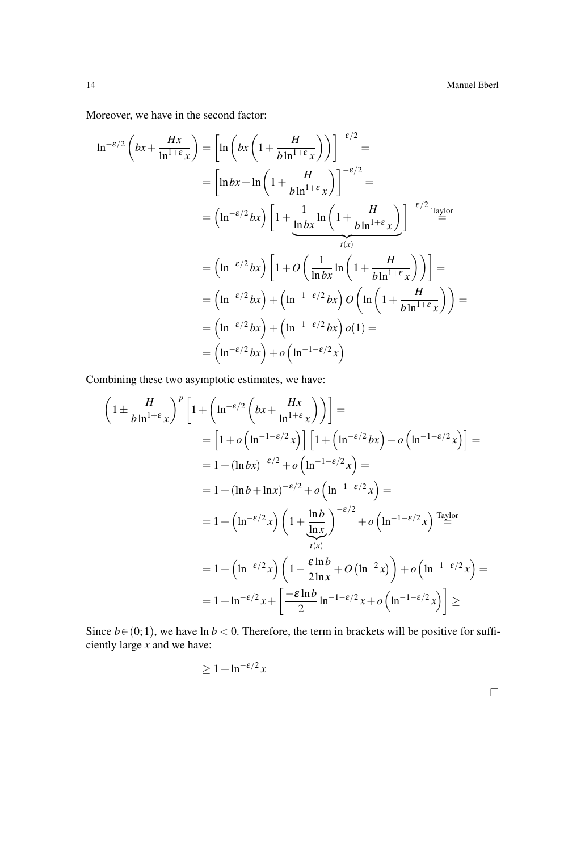Moreover, we have in the second factor:

$$
\ln^{-\varepsilon/2} \left( bx + \frac{Hx}{\ln^{1+\varepsilon} x} \right) = \left[ \ln \left( bx \left( 1 + \frac{H}{b \ln^{1+\varepsilon} x} \right) \right) \right]^{-\varepsilon/2} =
$$
  
\n
$$
= \left[ \ln bx + \ln \left( 1 + \frac{H}{b \ln^{1+\varepsilon} x} \right) \right]^{-\varepsilon/2} =
$$
  
\n
$$
= \left( \ln^{-\varepsilon/2} bx \right) \left[ 1 + \frac{1}{\ln bx} \ln \left( 1 + \frac{H}{b \ln^{1+\varepsilon} x} \right) \right]^{-\varepsilon/2} \stackrel{\text{Taylor}}{=}
$$
  
\n
$$
= \left( \ln^{-\varepsilon/2} bx \right) \left[ 1 + O \left( \frac{1}{\ln bx} \ln \left( 1 + \frac{H}{b \ln^{1+\varepsilon} x} \right) \right) \right] =
$$
  
\n
$$
= \left( \ln^{-\varepsilon/2} bx \right) + \left( \ln^{-1-\varepsilon/2} bx \right) O \left( \ln \left( 1 + \frac{H}{b \ln^{1+\varepsilon} x} \right) \right) =
$$
  
\n
$$
= \left( \ln^{-\varepsilon/2} bx \right) + \left( \ln^{-1-\varepsilon/2} bx \right) o(1) =
$$
  
\n
$$
= \left( \ln^{-\varepsilon/2} bx \right) + o \left( \ln^{-1-\varepsilon/2} x \right)
$$

Combining these two asymptotic estimates, we have:

$$
\left(1 \pm \frac{H}{b \ln^{1+\epsilon} x}\right)^{p} \left[1 + \left(\ln^{-\epsilon/2} \left(bx + \frac{Hx}{\ln^{1+\epsilon} x}\right)\right)\right] =
$$
\n
$$
= \left[1 + o\left(\ln^{-1-\epsilon/2} x\right)\right] \left[1 + \left(\ln^{-\epsilon/2} bx\right) + o\left(\ln^{-1-\epsilon/2} x\right)\right] =
$$
\n
$$
= 1 + (\ln bx)^{-\epsilon/2} + o\left(\ln^{-1-\epsilon/2} x\right) =
$$
\n
$$
= 1 + (\ln b + \ln x)^{-\epsilon/2} + o\left(\ln^{-1-\epsilon/2} x\right) =
$$
\n
$$
= 1 + \left(\ln^{-\epsilon/2} x\right) \left(1 + \frac{\ln b}{\ln x}\right)^{-\epsilon/2} + o\left(\ln^{-1-\epsilon/2} x\right)^{\text{Taylor}} =
$$
\n
$$
= 1 + \left(\ln^{-\epsilon/2} x\right) \left(1 - \frac{\epsilon \ln b}{2 \ln x} + O\left(\ln^{-2} x\right)\right) + o\left(\ln^{-1-\epsilon/2} x\right) =
$$
\n
$$
= 1 + \ln^{-\epsilon/2} x + \left[\frac{-\epsilon \ln b}{2} \ln^{-1-\epsilon/2} x + o\left(\ln^{-1-\epsilon/2} x\right)\right] \ge
$$

Since  $b \in (0, 1)$ , we have ln  $b < 0$ . Therefore, the term in brackets will be positive for sufficiently large *x* and we have:

$$
\geq 1 + \ln^{-\varepsilon/2} x
$$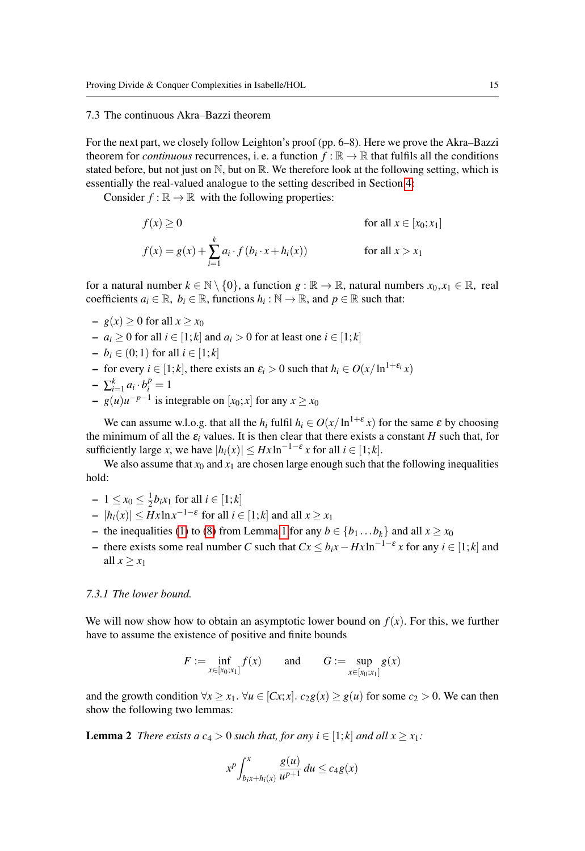#### 7.3 The continuous Akra–Bazzi theorem

For the next part, we closely follow Leighton's proof (pp. 6–8). Here we prove the Akra–Bazzi theorem for *continuous* recurrences, i.e. a function  $f : \mathbb{R} \to \mathbb{R}$  that fulfils all the conditions stated before, but not just on  $\mathbb N$ , but on  $\mathbb R$ . We therefore look at the following setting, which is essentially the real-valued analogue to the setting described in Section [4:](#page-6-0)

Consider  $f : \mathbb{R} \to \mathbb{R}$  with the following properties:

$$
f(x) \ge 0 \qquad \text{for all } x \in [x_0; x_1]
$$
  

$$
f(x) = g(x) + \sum_{i=1}^{k} a_i \cdot f(b_i \cdot x + h_i(x)) \qquad \text{for all } x > x_1
$$

for a natural number  $k \in \mathbb{N} \setminus \{0\}$ , a function  $g : \mathbb{R} \to \mathbb{R}$ , natural numbers  $x_0, x_1 \in \mathbb{R}$ , real coefficients  $a_i \in \mathbb{R}$ ,  $b_i \in \mathbb{R}$ , functions  $h_i : \mathbb{N} \to \mathbb{R}$ , and  $p \in \mathbb{R}$  such that:

- $-g(x) > 0$  for all  $x > x_0$
- *a<sup>i</sup>* ≥ 0 for all *i* ∈ [1; *k*] and *a<sup>i</sup>* > 0 for at least one *i* ∈ [1; *k*]
- $b_i \in (0; 1)$  for all *i* ∈ [1; *k*]
- $\leq$  − for every *i* ∈ [1; *k*], there exists an  $\varepsilon$ <sub>*i*</sub> > 0 such that *h*<sub>*i*</sub> ∈ *O*(*x*/ln<sup>1+ε*i*</sup> *x*)
- $-\sum_{i=1}^{k} a_i \cdot b_i^p = 1$
- $-g(u)u^{-p-1}$  is integrable on [*x*<sub>0</sub>; *x*] for any  $x \ge x_0$

We can assume w.l.o.g. that all the  $h_i$  fulfil  $h_i \in O(x/\ln^{1+\epsilon} x)$  for the same  $\varepsilon$  by choosing the minimum of all the  $\varepsilon_i$  values. It is then clear that there exists a constant *H* such that, for sufficiently large *x*, we have  $|h_i(x)| \leq Hx \ln^{-1-\epsilon} x$  for all  $i \in [1; k]$ .

We also assume that  $x_0$  and  $x_1$  are chosen large enough such that the following inequalities hold:

- $1 \le x_0 \le \frac{1}{2} b_i x_1$  for all *i* ∈ [1; *k*]
- $|h_i(x)| ≤ Hx \ln x^{-1-\epsilon}$  for all *i* ∈ [1; *k*] and all *x* ≥ *x*<sub>1</sub>
- − the inequalities [\(1\)](#page-12-0) to [\(8\)](#page-12-3) from Lemma [1](#page-11-2) for any  $b \in \{b_1...b_k\}$  and all  $x \ge x_0$
- − there exists some real number *C* such that  $Cx \leq b_i x Hx \ln^{-1-\epsilon} x$  for any  $i \in [1; k]$  and all  $x > x_1$

### *7.3.1 The lower bound.*

We will now show how to obtain an asymptotic lower bound on  $f(x)$ . For this, we further have to assume the existence of positive and finite bounds

$$
F := \inf_{x \in [x_0; x_1]} f(x) \qquad \text{and} \qquad G := \sup_{x \in [x_0; x_1]} g(x)
$$

and the growth condition  $\forall x \geq x_1$ .  $\forall u \in [Cx; x]$ .  $c_2g(x) \geq g(u)$  for some  $c_2 > 0$ . We can then show the following two lemmas:

<span id="page-14-0"></span>**Lemma 2** *There exists a c<sub>4</sub> > 0 <i>such that, for any i*  $\in$  [1;*k*] *and all x*  $\geq x_1$ *:* 

$$
x^{p} \int_{b_{i}x+h_{i}(x)}^{x} \frac{g(u)}{u^{p+1}} du \leq c_{4}g(x)
$$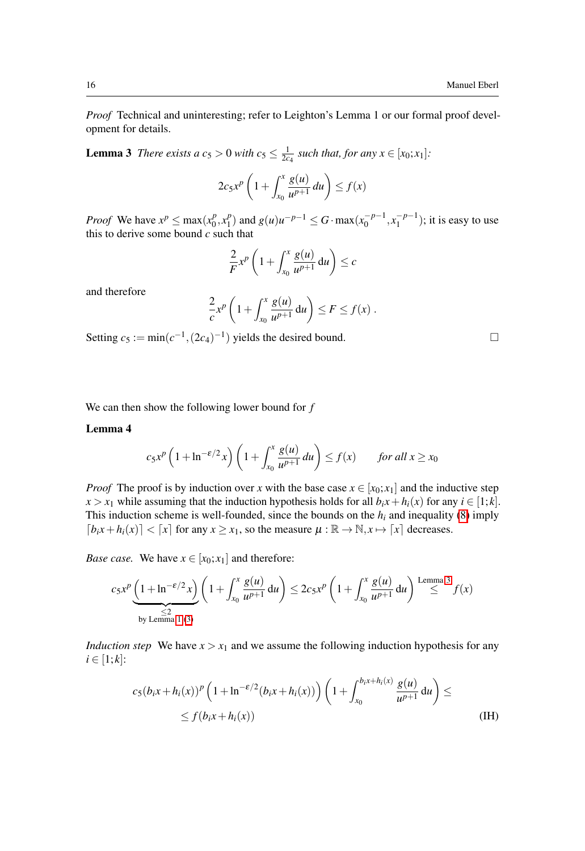*Proof* Technical and uninteresting; refer to Leighton's Lemma 1 or our formal proof development for details.

<span id="page-15-0"></span>**Lemma 3** *There exists a*  $c_5 > 0$  *with*  $c_5 \leq \frac{1}{2c_4}$  *such that, for any*  $x \in [x_0; x_1]$ *:* 

$$
2c_5x^p\left(1+\int_{x_0}^x\frac{g(u)}{u^{p+1}}du\right)\leq f(x)
$$

*Proof* We have  $x^p \le \max(x_0^p, x_1^p)$  and  $g(u)u^{-p-1} \le G \cdot \max(x_0^{-p-1}, x_1^{-p-1})$ ; it is easy to use this to derive some bound *c* such that

$$
\frac{2}{F}x^p\left(1+\int_{x_0}^x\frac{g(u)}{u^{p+1}}\,\mathrm{d}u\right)\leq c
$$

and therefore

$$
\frac{2}{c}x^p\left(1+\int_{x_0}^x\frac{g(u)}{u^{p+1}}\,\mathrm{d}u\right)\leq F\leq f(x)\;.
$$

Setting  $c_5 := min(c^{-1}, (2c_4)^{-1})$  yields the desired bound. □

We can then show the following lower bound for *f*

# Lemma 4

$$
c_5x^p\left(1+\ln^{-\varepsilon/2}x\right)\left(1+\int_{x_0}^x\frac{g(u)}{u^{p+1}}\,du\right)\leq f(x)\qquad\text{for all }x\geq x_0
$$

*Proof* The proof is by induction over *x* with the base case  $x \in [x_0; x_1]$  and the inductive step *x* > *x*<sub>1</sub> while assuming that the induction hypothesis holds for all  $b_i x + h_i(x)$  for any  $i \in [1; k]$ . This induction scheme is well-founded, since the bounds on the  $h_i$  and inequality [\(8\)](#page-12-3) imply  $[b_i x + h_i(x)] < [x]$  for any  $x \ge x_1$ , so the measure  $\mu : \mathbb{R} \to \mathbb{N}, x \mapsto [x]$  decreases.

*Base case.* We have  $x \in [x_0; x_1]$  and therefore:

$$
c_5 x^p \underbrace{\left(1+\ln^{-\varepsilon/2} x\right)}_{\text{by Lemma 1.}(3)} \left(1+\int_{x_0}^x \frac{g(u)}{u^{p+1}} \, \mathrm{d}u\right) \leq 2c_5 x^p \left(1+\int_{x_0}^x \frac{g(u)}{u^{p+1}} \, \mathrm{d}u\right) \stackrel{\text{Lemma 3}}{\leq} f(x)
$$

*Induction step* We have  $x > x_1$  and we assume the following induction hypothesis for any  $i \in [1; k]$ :

<span id="page-15-1"></span>
$$
c_5(b_ix + h_i(x))^p \left(1 + \ln^{-\varepsilon/2}(b_ix + h_i(x))\right) \left(1 + \int_{x_0}^{b_ix + h_i(x)} \frac{g(u)}{u^{p+1}} du\right) \le
$$
  
 
$$
\leq f(b_ix + h_i(x))
$$
 (IH)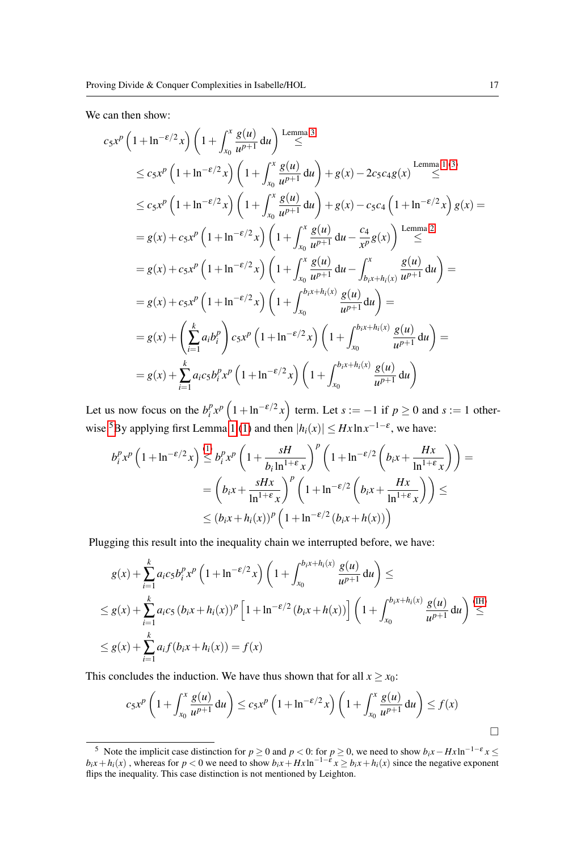We can then show:

$$
c_5x^p \left(1 + \ln^{-\varepsilon/2} x\right) \left(1 + \int_{x_0}^x \frac{g(u)}{u^{p+1}} du\right) \stackrel{\text{Lemma 3}}{\leq}
$$
  
\n
$$
\leq c_5x^p \left(1 + \ln^{-\varepsilon/2} x\right) \left(1 + \int_{x_0}^x \frac{g(u)}{u^{p+1}} du\right) + g(x) - 2c_5c_4 g(x) \stackrel{\text{Lemma 1.3)}}{\leq}
$$
  
\n
$$
\leq c_5x^p \left(1 + \ln^{-\varepsilon/2} x\right) \left(1 + \int_{x_0}^x \frac{g(u)}{u^{p+1}} du\right) + g(x) - c_5c_4 \left(1 + \ln^{-\varepsilon/2} x\right) g(x) =
$$
  
\n
$$
= g(x) + c_5x^p \left(1 + \ln^{-\varepsilon/2} x\right) \left(1 + \int_{x_0}^x \frac{g(u)}{u^{p+1}} du - \frac{c_4}{x^p} g(x)\right) \stackrel{\text{Lemma 2}}{\leq}
$$
  
\n
$$
= g(x) + c_5x^p \left(1 + \ln^{-\varepsilon/2} x\right) \left(1 + \int_{x_0}^x \frac{g(u)}{u^{p+1}} du - \int_{b_i x + h_i(x)}^x \frac{g(u)}{u^{p+1}} du\right) =
$$
  
\n
$$
= g(x) + c_5x^p \left(1 + \ln^{-\varepsilon/2} x\right) \left(1 + \int_{x_0}^{b_i x + h_i(x)} \frac{g(u)}{u^{p+1}} du\right) =
$$
  
\n
$$
= g(x) + \left(\sum_{i=1}^k a_i b_i^p\right) c_5x^p \left(1 + \ln^{-\varepsilon/2} x\right) \left(1 + \int_{x_0}^{b_i x + h_i(x)} \frac{g(u)}{u^{p+1}} du\right) =
$$
  
\n
$$
= g(x) + \sum_{i=1}^k a_i c_5 b_i^p x^p \left(1 + \ln^{-\varepsilon/2} x\right) \left(1 + \int_{x_0}^{b_i x + h_i(x)} \frac{g(u)}{u^{p+1}} du\right)
$$

Let us now focus on the  $b_i^p x^p \left(1 + \ln^{-\varepsilon/2} x\right)$  term. Let  $s := -1$  if  $p \ge 0$  and  $s := 1$  other-wise.<sup>[5](#page-16-0)</sup>By applying first Lemma [1.](#page-11-2)[\(1\)](#page-12-0) and then  $|h_i(x)| \leq Hx \ln x^{-1-\epsilon}$ , we have:

$$
b_i^p x^p \left(1 + \ln^{-\varepsilon/2} x\right) \stackrel{(1)}{\leq} b_i^p x^p \left(1 + \frac{sH}{b_i \ln^{1+\varepsilon} x}\right)^p \left(1 + \ln^{-\varepsilon/2} \left(b_i x + \frac{Hx}{\ln^{1+\varepsilon} x}\right)\right) =
$$
  
=  $\left(b_i x + \frac{sHx}{\ln^{1+\varepsilon} x}\right)^p \left(1 + \ln^{-\varepsilon/2} \left(b_i x + \frac{Hx}{\ln^{1+\varepsilon} x}\right)\right) \le$   
 $\le (b_i x + h_i(x))^p \left(1 + \ln^{-\varepsilon/2} (b_i x + h(x))\right)$ 

Plugging this result into the inequality chain we interrupted before, we have:

$$
g(x) + \sum_{i=1}^{k} a_i c_5 b_i^p x^p \left( 1 + \ln^{-\varepsilon/2} x \right) \left( 1 + \int_{x_0}^{b_i x + h_i(x)} \frac{g(u)}{u^{p+1}} du \right) \le
$$
  
\n
$$
\le g(x) + \sum_{i=1}^{k} a_i c_5 (b_i x + h_i(x))^p \left[ 1 + \ln^{-\varepsilon/2} (b_i x + h(x)) \right] \left( 1 + \int_{x_0}^{b_i x + h_i(x)} \frac{g(u)}{u^{p+1}} du \right) \stackrel{\text{(IH)}}{\le}
$$
  
\n
$$
\le g(x) + \sum_{i=1}^{k} a_i f(b_i x + h_i(x)) = f(x)
$$

This concludes the induction. We have thus shown that for all  $x \ge x_0$ :

$$
c_5x^p \left(1 + \int_{x_0}^x \frac{g(u)}{u^{p+1}} du\right) \le c_5x^p \left(1 + \ln^{-\varepsilon/2} x\right) \left(1 + \int_{x_0}^x \frac{g(u)}{u^{p+1}} du\right) \le f(x)
$$

<span id="page-16-0"></span><sup>&</sup>lt;sup>5</sup> Note the implicit case distinction for  $p \ge 0$  and  $p < 0$ : for  $p \ge 0$ , we need to show  $b_i x - H x \ln^{-1-\epsilon} x \le b_i x + h_i(x)$ , whereas for  $p < 0$  we need to show  $b_i x + H x \ln^{-1-\epsilon} x \ge b_i x + h_i(x)$  since the negative exponent flips the inequality. This case distinction is not mentioned by Leighton.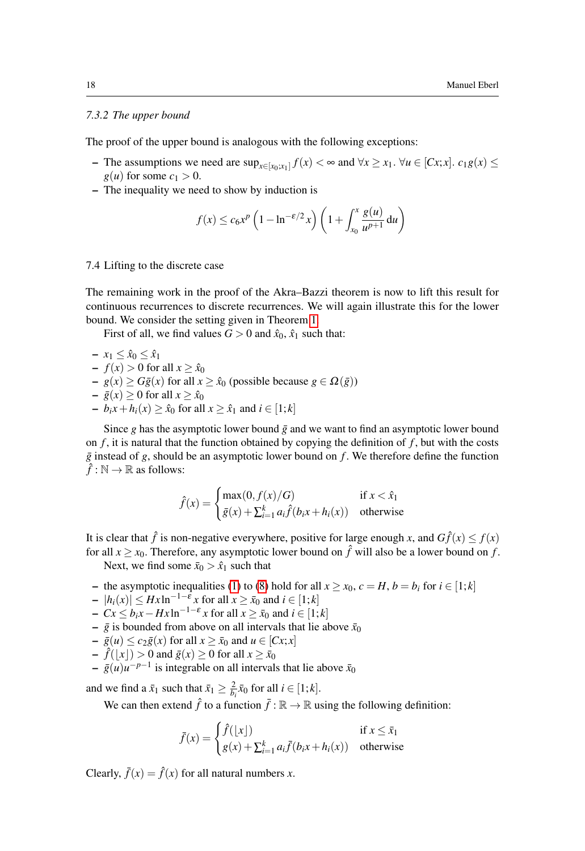### *7.3.2 The upper bound*

The proof of the upper bound is analogous with the following exceptions:

- $\leq$  The assumptions we need are sup<sub>*x*∈[*x*<sub>0</sub>;*x*<sub>1</sub>]</sub>  $f(x) < \infty$  and ∀*x* ≥ *x*<sub>1</sub>. ∀*u* ∈ [*Cx*;*x*]. *c*<sub>1</sub>*g*(*x*) ≤  $g(u)$  for some  $c_1 > 0$ .
- The inequality we need to show by induction is

$$
f(x) \le c_6 x^p \left(1 - \ln^{-\varepsilon/2} x\right) \left(1 + \int_{x_0}^x \frac{g(u)}{u^{p+1}} du\right)
$$

#### 7.4 Lifting to the discrete case

The remaining work in the proof of the Akra–Bazzi theorem is now to lift this result for continuous recurrences to discrete recurrences. We will again illustrate this for the lower bound. We consider the setting given in Theorem [1.](#page-7-1)

First of all, we find values  $G > 0$  and  $\hat{x}_0$ ,  $\hat{x}_1$  such that:

$$
- x_1 \leq \hat{x}_0 \leq \hat{x}_1
$$
  
\n
$$
- f(x) > 0 \text{ for all } x \geq \hat{x}_0
$$
  
\n
$$
- g(x) \geq G\bar{g}(x) \text{ for all } x \geq \hat{x}_0 \text{ (possible because } g \in \Omega(\bar{g}))
$$
  
\n
$$
- \bar{g}(x) \geq 0 \text{ for all } x \geq \hat{x}_0
$$
  
\n
$$
- b_i x + h_i(x) \geq \hat{x}_0 \text{ for all } x \geq \hat{x}_1 \text{ and } i \in [1; k]
$$

Since *g* has the asymptotic lower bound  $\bar{g}$  and we want to find an asymptotic lower bound on *f* , it is natural that the function obtained by copying the definition of *f* , but with the costs  $\bar{g}$  instead of *g*, should be an asymptotic lower bound on  $f$ . We therefore define the function  $\hat{f}: \mathbb{N} \to \mathbb{R}$  as follows:

$$
\hat{f}(x) = \begin{cases}\n\max(0, f(x)/G) & \text{if } x < \hat{x}_1 \\
\bar{g}(x) + \sum_{i=1}^k a_i \hat{f}(b_i x + h_i(x)) & \text{otherwise}\n\end{cases}
$$

It is clear that  $\hat{f}$  is non-negative everywhere, positive for large enough *x*, and  $G\hat{f}(x) \leq f(x)$ for all  $x \ge x_0$ . Therefore, any asymptotic lower bound on  $\hat{f}$  will also be a lower bound on  $f$ .

Next, we find some  $\bar{x}_0 > \hat{x}_1$  such that

- − the asymptotic inequalities [\(1\)](#page-12-0) to [\(8\)](#page-12-3) hold for all  $x \ge x_0$ ,  $c = H$ ,  $b = b_i$  for  $i \in [1; k]$
- $|h_i(x)| ≤ Hx \ln^{-1-\epsilon} x$  for all  $x ≥ \bar{x}_0$  and  $i ∈ [1; k]$
- $-$  *Cx* ≤ *b<sub>i</sub>x*−*Hx* ln<sup>−1−ε</sup>*x* for all *x* ≥ *x*<sub>0</sub> and *i* ∈ [1;*k*]
- $-\bar{g}$  is bounded from above on all intervals that lie above  $\bar{x}_0$
- −  $\bar{g}(u)$  ≤  $c_2\bar{g}(x)$  for all  $x \ge \bar{x}_0$  and  $u \in [Cx; x]$
- $-\hat{f}(|x|) > 0$  and  $\bar{g}(x) \ge 0$  for all  $x \ge \bar{x}_0$
- $-\bar{g}(u)u^{-p-1}$  is integrable on all intervals that lie above  $\bar{x}_0$

and we find a  $\bar{x}_1$  such that  $\bar{x}_1 \geq \frac{2}{b_i} \bar{x}_0$  for all  $i \in [1; k]$ .

We can then extend  $\hat{f}$  to a function  $\bar{f}$  :  $\mathbb{R} \to \mathbb{R}$  using the following definition:

$$
\bar{f}(x) = \begin{cases} \hat{f}(|x|) & \text{if } x \le \bar{x}_1 \\ g(x) + \sum_{i=1}^k a_i \bar{f}(b_i x + h_i(x)) & \text{otherwise} \end{cases}
$$

Clearly,  $\bar{f}(x) = \hat{f}(x)$  for all natural numbers *x*.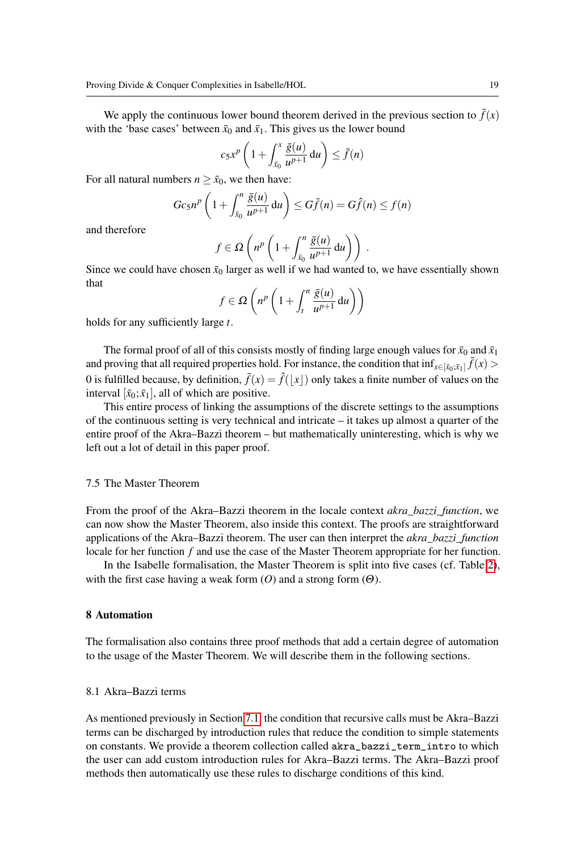We apply the continuous lower bound theorem derived in the previous section to  $\bar{f}(x)$ with the 'base cases' between  $\bar{x}_0$  and  $\bar{x}_1$ . This gives us the lower bound

$$
c_5x^p\left(1+\int_{\bar{x}_0}^x\frac{\bar{g}(u)}{u^{p+1}}\,\mathrm{d}u\right)\leq \bar{f}(n)
$$

For all natural numbers  $n \geq \bar{x}_0$ , we then have:

$$
Gc_5n^p\left(1+\int_{\bar{x}_0}^n\frac{\bar{g}(u)}{u^{p+1}}\,\mathrm{d}u\right)\leq G\bar{f}(n)=G\hat{f}(n)\leq f(n)
$$

and therefore

$$
f\in\Omega\left(n^p\left(1+\int_{\bar{x}_0}^n\frac{\bar{g}(u)}{u^{p+1}}\,\mathrm{d}u\right)\right).
$$

Since we could have chosen  $\bar{x}_0$  larger as well if we had wanted to, we have essentially shown that

$$
f \in \Omega \left( n^p \left( 1 + \int_t^n \frac{\bar{g}(u)}{u^{p+1}} du \right) \right)
$$

holds for any sufficiently large *t*.

The formal proof of all of this consists mostly of finding large enough values for  $\bar{x}_0$  and  $\bar{x}_1$ and proving that all required properties hold. For instance, the condition that  $\inf_{x \in [\bar{x}_0, \bar{x}_1]} \bar{f}(x)$  > 0 is fulfilled because, by definition,  $\bar{f}(x) = \hat{f}(|x|)$  only takes a finite number of values on the interval  $[\bar{x}_0; \bar{x}_1]$ , all of which are positive.

This entire process of linking the assumptions of the discrete settings to the assumptions of the continuous setting is very technical and intricate – it takes up almost a quarter of the entire proof of the Akra–Bazzi theorem – but mathematically uninteresting, which is why we left out a lot of detail in this paper proof.

# 7.5 The Master Theorem

From the proof of the Akra–Bazzi theorem in the locale context *akra*\_*bazzi*\_*function*, we can now show the Master Theorem, also inside this context. The proofs are straightforward applications of the Akra–Bazzi theorem. The user can then interpret the *akra*\_*bazzi*\_*function* locale for her function *f* and use the case of the Master Theorem appropriate for her function.

In the Isabelle formalisation, the Master Theorem is split into five cases (cf. Table [2\)](#page-19-0), with the first case having a weak form  $(O)$  and a strong form  $(\Theta)$ .

#### <span id="page-18-0"></span>8 Automation

The formalisation also contains three proof methods that add a certain degree of automation to the usage of the Master Theorem. We will describe them in the following sections.

# 8.1 Akra–Bazzi terms

As mentioned previously in Section [7.1,](#page-10-2) the condition that recursive calls must be Akra–Bazzi terms can be discharged by introduction rules that reduce the condition to simple statements on constants. We provide a theorem collection called akra\_bazzi\_term\_intro to which the user can add custom introduction rules for Akra–Bazzi terms. The Akra–Bazzi proof methods then automatically use these rules to discharge conditions of this kind.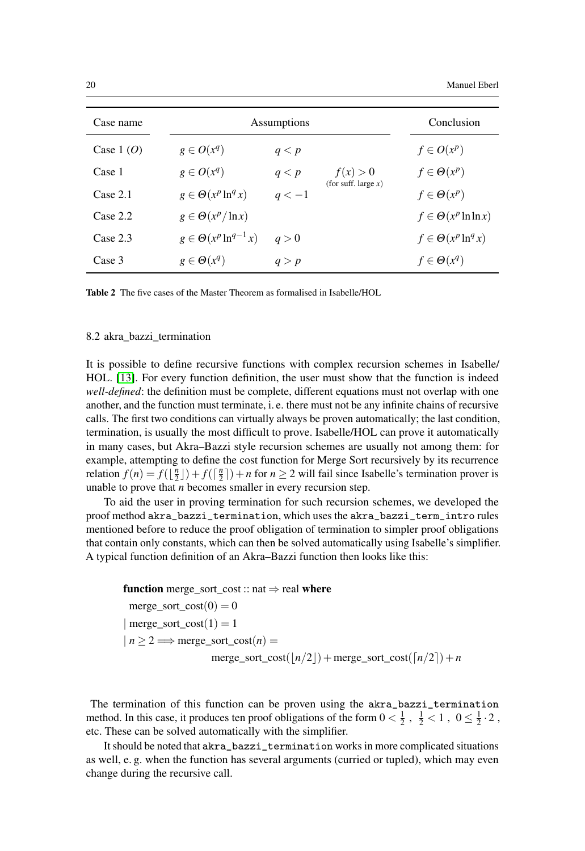| Case name   | Assumptions                     | Conclusion |                        |                               |
|-------------|---------------------------------|------------|------------------------|-------------------------------|
| Case $1(0)$ | $g \in O(x^q)$                  | q < p      |                        | $f \in O(x^p)$                |
| Case 1      | $g \in O(x^q)$                  | q < p      | f(x) > 0               | $f \in \Theta(x^p)$           |
| Case 2.1    | $g \in \Theta(x^p \ln^q x)$     | $q < -1$   | (for suff. large $x$ ) | $f \in \Theta(x^p)$           |
| Case 2.2    | $g \in \Theta(x^p / \ln x)$     |            |                        | $f \in \Theta(x^p \ln \ln x)$ |
| Case 2.3    | $g \in \Theta(x^p \ln^{q-1} x)$ | q>0        |                        | $f \in \Theta(x^p \ln^q x)$   |
| Case 3      | $g \in \Theta(x^q)$             | q > p      |                        | $f \in \Theta(x^q)$           |

<span id="page-19-0"></span>Table 2 The five cases of the Master Theorem as formalised in Isabelle/HOL

# <span id="page-19-1"></span>8.2 akra\_bazzi\_termination

It is possible to define recursive functions with complex recursion schemes in Isabelle/ HOL. [\[13\]](#page-25-10). For every function definition, the user must show that the function is indeed *well-defined*: the definition must be complete, different equations must not overlap with one another, and the function must terminate, i. e. there must not be any infinite chains of recursive calls. The first two conditions can virtually always be proven automatically; the last condition, termination, is usually the most difficult to prove. Isabelle/HOL can prove it automatically in many cases, but Akra–Bazzi style recursion schemes are usually not among them: for example, attempting to define the cost function for Merge Sort recursively by its recurrence relation  $f(n) = f(\frac{n}{2}) + f(\frac{n}{2}) + n$  for  $n \ge 2$  will fail since Isabelle's termination prover is unable to prove that *n* becomes smaller in every recursion step.

To aid the user in proving termination for such recursion schemes, we developed the proof method akra\_bazzi\_termination, which uses the akra\_bazzi\_term\_intro rules mentioned before to reduce the proof obligation of termination to simpler proof obligations that contain only constants, which can then be solved automatically using Isabelle's simplifier. A typical function definition of an Akra–Bazzi function then looks like this:

function merge\_sort\_cost  $::$  nat  $\Rightarrow$  real where merge sort  $cost(0) = 0$ | merge\_sort\_cost(1) = 1  $| n > 2 \implies$  merge\_sort\_cost(*n*) = merge\_sort\_cost( $\frac{n}{2}$ ) + merge\_sort\_cost( $\frac{n}{2}$ ) + *n* 

The termination of this function can be proven using the akra\_bazzi\_termination method. In this case, it produces ten proof obligations of the form  $0 < \frac{1}{2}$ ,  $\frac{1}{2} < 1$ ,  $0 \le \frac{1}{2} \cdot 2$ , etc. These can be solved automatically with the simplifier.

It should be noted that akra\_bazzi\_termination works in more complicated situations as well, e. g. when the function has several arguments (curried or tupled), which may even change during the recursive call.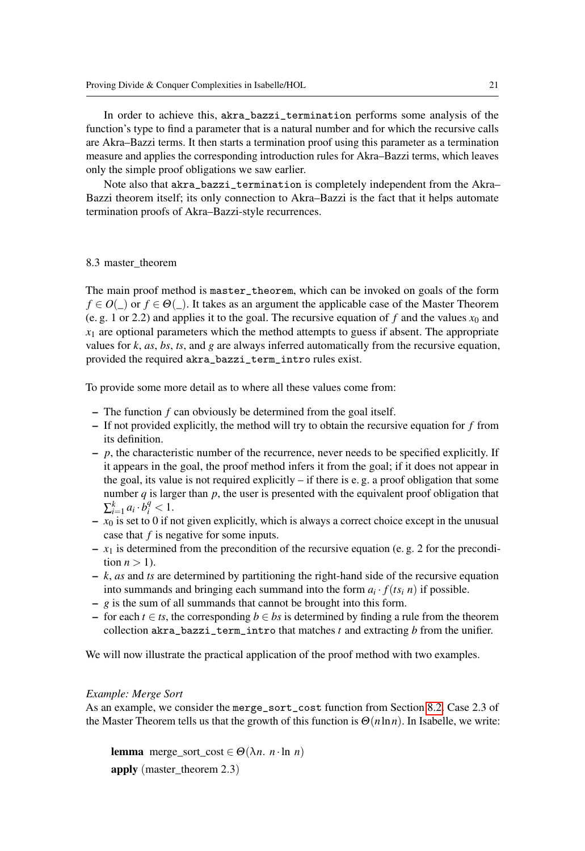In order to achieve this, akra\_bazzi\_termination performs some analysis of the function's type to find a parameter that is a natural number and for which the recursive calls are Akra–Bazzi terms. It then starts a termination proof using this parameter as a termination measure and applies the corresponding introduction rules for Akra–Bazzi terms, which leaves only the simple proof obligations we saw earlier.

Note also that akra\_bazzi\_termination is completely independent from the Akra– Bazzi theorem itself; its only connection to Akra–Bazzi is the fact that it helps automate termination proofs of Akra–Bazzi-style recurrences.

#### 8.3 master theorem

The main proof method is master\_theorem, which can be invoked on goals of the form  $f \in O(\underline{\hspace{0.1cm}})$  or  $f \in \Theta(\underline{\hspace{0.1cm}})$ . It takes as an argument the applicable case of the Master Theorem (e. g. 1 or 2.2) and applies it to the goal. The recursive equation of f and the values  $x_0$  and  $x_1$  are optional parameters which the method attempts to guess if absent. The appropriate values for *k*, *as*, *bs*, *ts*, and *g* are always inferred automatically from the recursive equation, provided the required akra\_bazzi\_term\_intro rules exist.

To provide some more detail as to where all these values come from:

- The function *f* can obviously be determined from the goal itself.
- If not provided explicitly, the method will try to obtain the recursive equation for *f* from its definition.
- $-p$ , the characteristic number of the recurrence, never needs to be specified explicitly. If it appears in the goal, the proof method infers it from the goal; if it does not appear in the goal, its value is not required explicitly – if there is e.g. a proof obligation that some number *q* is larger than *p*, the user is presented with the equivalent proof obligation that  $\sum_{i=1}^{k} a_i \cdot \hat{b}_i^q < 1.$
- $x_0$  is set to 0 if not given explicitly, which is always a correct choice except in the unusual case that *f* is negative for some inputs.
- $x_1$  is determined from the precondition of the recursive equation (e. g. 2 for the precondition  $n > 1$ ).
- *k*, *as* and *ts* are determined by partitioning the right-hand side of the recursive equation into summands and bringing each summand into the form  $a_i \cdot f(ts_i n)$  if possible.
- *g* is the sum of all summands that cannot be brought into this form.
- for each *t* ∈ *ts*, the corresponding *b* ∈ *bs* is determined by finding a rule from the theorem collection akra\_bazzi\_term\_intro that matches  $t$  and extracting  $b$  from the unifier.

We will now illustrate the practical application of the proof method with two examples.

### *Example: Merge Sort*

As an example, we consider the merge\_sort\_cost function from Section [8.2.](#page-19-1) Case 2.3 of the Master Theorem tells us that the growth of this function is  $\Theta(n \ln n)$ . In Isabelle, we write:

lemma merge\_sort\_cost ∈ Θ(λ*n*. *n* ·ln *n*) apply (master\_theorem 2.3)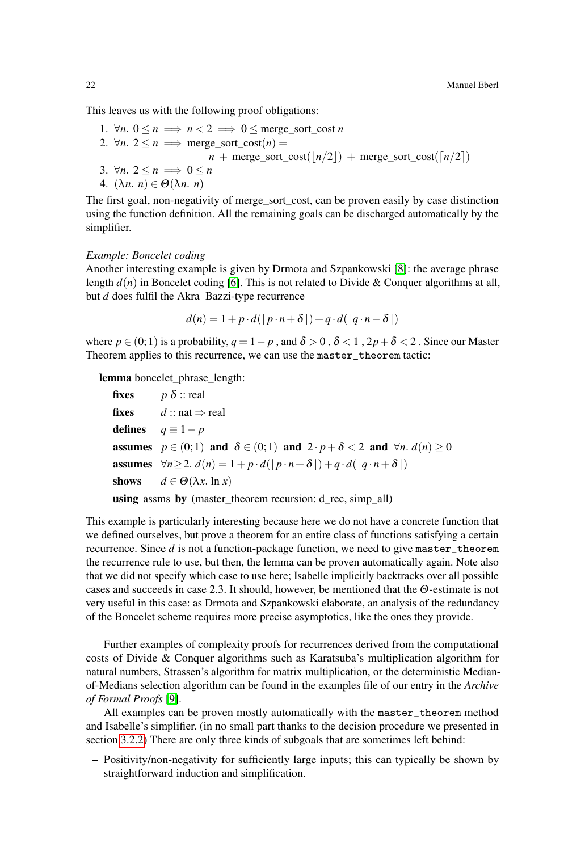This leaves us with the following proof obligations:

1.  $\forall n, 0 \le n \implies n \le 2 \implies 0 \le$  merge sort cost *n* 2.  $\forall n$ . 2 < *n*  $\implies$  merge\_sort\_cost(*n*) =  $n + \text{merge\_sort\_cost}(\frac{n}{2}) + \text{merge\_sort\_cost}(\frac{n}{2})$ 3.  $\forall n, 2 \leq n \implies 0 \leq n$ 4.  $(\lambda n, n) \in \Theta(\lambda n, n)$ 

The first goal, non-negativity of merge\_sort\_cost, can be proven easily by case distinction using the function definition. All the remaining goals can be discharged automatically by the simplifier.

#### *Example: Boncelet coding*

Another interesting example is given by Drmota and Szpankowski [\[8\]](#page-25-4): the average phrase length  $d(n)$  in Boncelet coding [\[6\]](#page-25-11). This is not related to Divide & Conquer algorithms at all, but *d* does fulfil the Akra–Bazzi-type recurrence

$$
d(n) = 1 + p \cdot d(\lfloor p \cdot n + \delta \rfloor) + q \cdot d(\lfloor q \cdot n - \delta \rfloor)
$$

where  $p \in (0, 1)$  is a probability,  $q = 1 - p$ , and  $\delta > 0$ ,  $\delta < 1$ ,  $2p + \delta < 2$ . Since our Master Theorem applies to this recurrence, we can use the master\_theorem tactic:

lemma boncelet phrase length:

fixes  $p \delta$  :: real fixes  $d$  :: nat  $\Rightarrow$  real defines  $q \equiv 1 - p$ assumes  $p \in (0, 1)$  and  $\delta \in (0, 1)$  and  $2 \cdot p + \delta < 2$  and  $\forall n$ .  $d(n) \ge 0$ assumes  $\forall n > 2$ .  $d(n) = 1 + p \cdot d(\vert p \cdot n + \delta \vert) + q \cdot d(\vert q \cdot n + \delta \vert)$ shows  $d \in \Theta(\lambda x. \ln x)$ using assms by (master theorem recursion: d\_rec, simp\_all)

This example is particularly interesting because here we do not have a concrete function that we defined ourselves, but prove a theorem for an entire class of functions satisfying a certain recurrence. Since *d* is not a function-package function, we need to give master\_theorem the recurrence rule to use, but then, the lemma can be proven automatically again. Note also that we did not specify which case to use here; Isabelle implicitly backtracks over all possible cases and succeeds in case 2.3. It should, however, be mentioned that the Θ-estimate is not very useful in this case: as Drmota and Szpankowski elaborate, an analysis of the redundancy of the Boncelet scheme requires more precise asymptotics, like the ones they provide.

Further examples of complexity proofs for recurrences derived from the computational costs of Divide & Conquer algorithms such as Karatsuba's multiplication algorithm for natural numbers, Strassen's algorithm for matrix multiplication, or the deterministic Medianof-Medians selection algorithm can be found in the examples file of our entry in the *Archive of Formal Proofs* [\[9\]](#page-25-8).

All examples can be proven mostly automatically with the master\_theorem method and Isabelle's simplifier. (in no small part thanks to the decision procedure we presented in section [3.2.2\)](#page-4-0) There are only three kinds of subgoals that are sometimes left behind:

– Positivity/non-negativity for sufficiently large inputs; this can typically be shown by straightforward induction and simplification.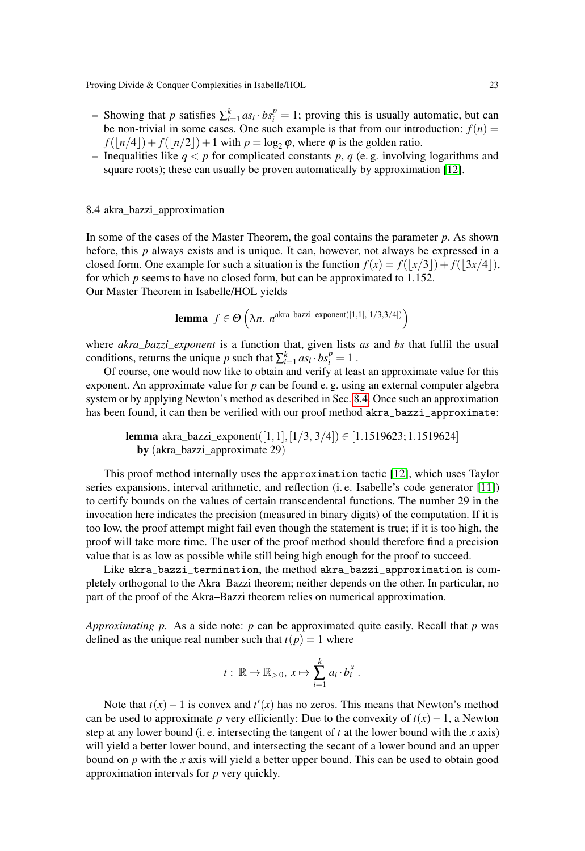- Showing that *p* satisfies  $\sum_{i=1}^{k} a s_i \cdot b s_i^p = 1$ ; proving this is usually automatic, but can be non-trivial in some cases. One such example is that from our introduction:  $f(n)$  =  $f(|n/4|) + f(|n/2|) + 1$  with  $p = \log_2 \varphi$ , where  $\varphi$  is the golden ratio.
- Inequalities like  $q < p$  for complicated constants  $p, q$  (e.g. involving logarithms and square roots); these can usually be proven automatically by approximation [\[12\]](#page-25-12).

### 8.4 akra\_bazzi\_approximation

In some of the cases of the Master Theorem, the goal contains the parameter  $p$ . As shown before, this *p* always exists and is unique. It can, however, not always be expressed in a closed form. One example for such a situation is the function  $f(x) = f(|x/3|) + f(|3x/4|)$ , for which *p* seems to have no closed form, but can be approximated to 1.152. Our Master Theorem in Isabelle/HOL yields

**lemma** 
$$
f \in \Theta\left(\lambda n. n^{\text{akra}\text{-} \text{bazzi}\text{-} \text{exponent}([1,1],[1/3,3/4])}\right)
$$

where *akra\_bazzi\_exponent* is a function that, given lists *as* and *bs* that fulfil the usual conditions, returns the unique *p* such that  $\sum_{i=1}^{k} a s_i \cdot b s_i^p = 1$ .

Of course, one would now like to obtain and verify at least an approximate value for this exponent. An approximate value for *p* can be found e. g. using an external computer algebra system or by applying Newton's method as described in Sec. [8.4.](#page-22-0) Once such an approximation has been found, it can then be verified with our proof method akra\_bazzi\_approximate:

lemma akra\_bazzi\_exponent $([1,1],[1/3,3/4])$  ∈ [1.1519623; 1.1519624] by (akra\_bazzi\_approximate 29)

This proof method internally uses the approximation tactic [\[12\]](#page-25-12), which uses Taylor series expansions, interval arithmetic, and reflection (i. e. Isabelle's code generator [\[11\]](#page-25-13)) to certify bounds on the values of certain transcendental functions. The number 29 in the invocation here indicates the precision (measured in binary digits) of the computation. If it is too low, the proof attempt might fail even though the statement is true; if it is too high, the proof will take more time. The user of the proof method should therefore find a precision value that is as low as possible while still being high enough for the proof to succeed.

Like akra\_bazzi\_termination, the method akra\_bazzi\_approximation is completely orthogonal to the Akra–Bazzi theorem; neither depends on the other. In particular, no part of the proof of the Akra–Bazzi theorem relies on numerical approximation.

<span id="page-22-0"></span>*Approximating*  $p$ . As a side note:  $p$  can be approximated quite easily. Recall that  $p$  was defined as the unique real number such that  $t(p) = 1$  where

$$
t: \mathbb{R} \to \mathbb{R}_{>0}, x \mapsto \sum_{i=1}^{k} a_i \cdot b_i^x
$$
.

Note that  $t(x) - 1$  is convex and  $t'(x)$  has no zeros. This means that Newton's method can be used to approximate *p* very efficiently: Due to the convexity of  $t(x) - 1$ , a Newton step at any lower bound (i. e. intersecting the tangent of  $t$  at the lower bound with the  $x$  axis) will yield a better lower bound, and intersecting the secant of a lower bound and an upper bound on *p* with the *x* axis will yield a better upper bound. This can be used to obtain good approximation intervals for *p* very quickly.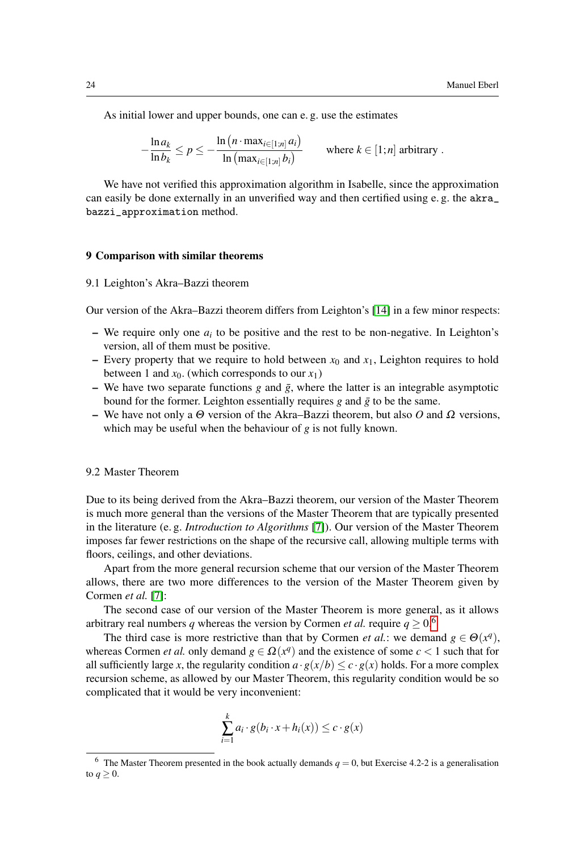As initial lower and upper bounds, one can e. g. use the estimates

$$
-\frac{\ln a_k}{\ln b_k} \le p \le -\frac{\ln (n \cdot \max_{i \in [1;n]} a_i)}{\ln (\max_{i \in [1;n]} b_i)} \quad \text{where } k \in [1;n] \text{ arbitrary }.
$$

We have not verified this approximation algorithm in Isabelle, since the approximation can easily be done externally in an unverified way and then certified using e. g. the akra\_ bazzi\_approximation method.

### <span id="page-23-0"></span>9 Comparison with similar theorems

#### 9.1 Leighton's Akra–Bazzi theorem

Our version of the Akra–Bazzi theorem differs from Leighton's [\[14\]](#page-25-1) in a few minor respects:

- $-$  We require only one  $a_i$  to be positive and the rest to be non-negative. In Leighton's version, all of them must be positive.
- Every property that we require to hold between  $x_0$  and  $x_1$ , Leighton requires to hold between 1 and  $x_0$ . (which corresponds to our  $x_1$ )
- $-$  We have two separate functions *g* and  $\bar{g}$ , where the latter is an integrable asymptotic bound for the former. Leighton essentially requires  $g$  and  $\bar{g}$  to be the same.
- We have not only a Θ version of the Akra–Bazzi theorem, but also *O* and Ω versions, which may be useful when the behaviour of *g* is not fully known.

# 9.2 Master Theorem

Due to its being derived from the Akra–Bazzi theorem, our version of the Master Theorem is much more general than the versions of the Master Theorem that are typically presented in the literature (e. g. *Introduction to Algorithms* [\[7\]](#page-25-2)). Our version of the Master Theorem imposes far fewer restrictions on the shape of the recursive call, allowing multiple terms with floors, ceilings, and other deviations.

Apart from the more general recursion scheme that our version of the Master Theorem allows, there are two more differences to the version of the Master Theorem given by Cormen *et al.* [\[7\]](#page-25-2):

The second case of our version of the Master Theorem is more general, as it allows arbitrary real numbers *q* whereas the version by Cormen *et al.* require  $q > 0.6$  $q > 0.6$ 

The third case is more restrictive than that by Cormen *et al.*: we demand  $g \in \Theta(x^q)$ , whereas Cormen *et al.* only demand  $g \in \Omega(x^q)$  and the existence of some  $c < 1$  such that for all sufficiently large *x*, the regularity condition  $a \cdot g(x/b) \leq c \cdot g(x)$  holds. For a more complex recursion scheme, as allowed by our Master Theorem, this regularity condition would be so complicated that it would be very inconvenient:

$$
\sum_{i=1}^{k} a_i \cdot g(b_i \cdot x + h_i(x)) \le c \cdot g(x)
$$

<span id="page-23-1"></span><sup>&</sup>lt;sup>6</sup> The Master Theorem presented in the book actually demands  $q = 0$ , but Exercise 4.2-2 is a generalisation to  $q \geq 0$ .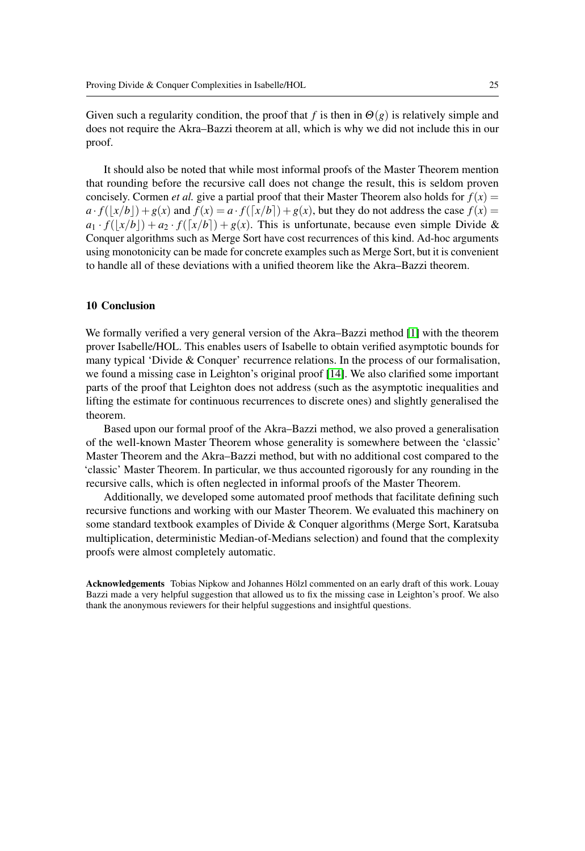Given such a regularity condition, the proof that *f* is then in  $\Theta(g)$  is relatively simple and does not require the Akra–Bazzi theorem at all, which is why we did not include this in our proof.

It should also be noted that while most informal proofs of the Master Theorem mention that rounding before the recursive call does not change the result, this is seldom proven concisely. Cormen *et al.* give a partial proof that their Master Theorem also holds for  $f(x) =$  $a \cdot f(|x/b|) + g(x)$  and  $f(x) = a \cdot f(|x/b|) + g(x)$ , but they do not address the case  $f(x) =$  $a_1 \cdot f(|x/b|) + a_2 \cdot f(|x/b|) + g(x)$ . This is unfortunate, because even simple Divide & Conquer algorithms such as Merge Sort have cost recurrences of this kind. Ad-hoc arguments using monotonicity can be made for concrete examples such as Merge Sort, but it is convenient to handle all of these deviations with a unified theorem like the Akra–Bazzi theorem.

# 10 Conclusion

We formally verified a very general version of the Akra–Bazzi method [\[1\]](#page-25-0) with the theorem prover Isabelle/HOL. This enables users of Isabelle to obtain verified asymptotic bounds for many typical 'Divide & Conquer' recurrence relations. In the process of our formalisation, we found a missing case in Leighton's original proof [\[14\]](#page-25-1). We also clarified some important parts of the proof that Leighton does not address (such as the asymptotic inequalities and lifting the estimate for continuous recurrences to discrete ones) and slightly generalised the theorem.

Based upon our formal proof of the Akra–Bazzi method, we also proved a generalisation of the well-known Master Theorem whose generality is somewhere between the 'classic' Master Theorem and the Akra–Bazzi method, but with no additional cost compared to the 'classic' Master Theorem. In particular, we thus accounted rigorously for any rounding in the recursive calls, which is often neglected in informal proofs of the Master Theorem.

Additionally, we developed some automated proof methods that facilitate defining such recursive functions and working with our Master Theorem. We evaluated this machinery on some standard textbook examples of Divide & Conquer algorithms (Merge Sort, Karatsuba multiplication, deterministic Median-of-Medians selection) and found that the complexity proofs were almost completely automatic.

Acknowledgements Tobias Nipkow and Johannes Hölzl commented on an early draft of this work. Louay Bazzi made a very helpful suggestion that allowed us to fix the missing case in Leighton's proof. We also thank the anonymous reviewers for their helpful suggestions and insightful questions.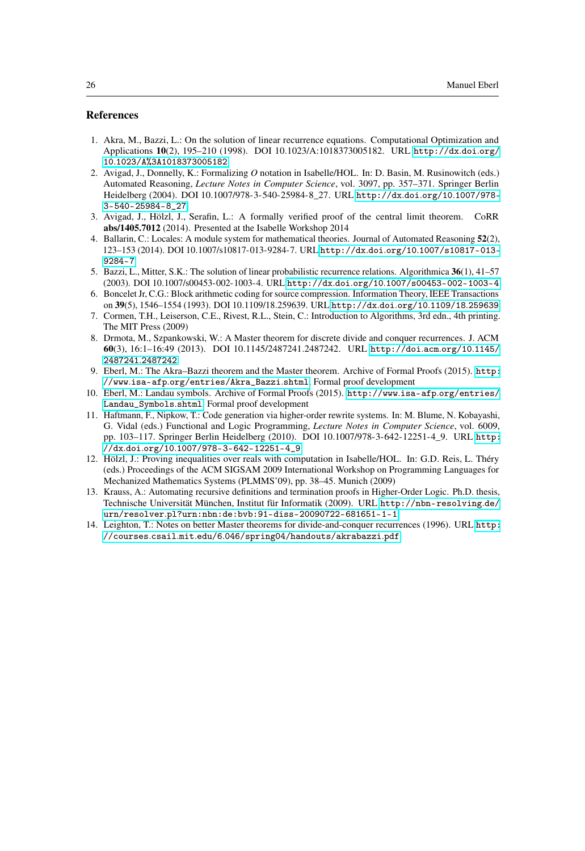### References

- <span id="page-25-0"></span>1. Akra, M., Bazzi, L.: On the solution of linear recurrence equations. Computational Optimization and Applications 10(2), 195–210 (1998). DOI 10.1023/A:1018373005182. URL [http://dx](http://dx.doi.org/10.1023/A%3A1018373005182).doi.org/ 10.[1023/A%3A1018373005182](http://dx.doi.org/10.1023/A%3A1018373005182)
- <span id="page-25-6"></span>2. Avigad, J., Donnelly, K.: Formalizing *O* notation in Isabelle/HOL. In: D. Basin, M. Rusinowitch (eds.) Automated Reasoning, *Lecture Notes in Computer Science*, vol. 3097, pp. 357–371. Springer Berlin Heidelberg (2004). DOI 10.1007/978-3-540-25984-8\_27. URL [http://dx](http://dx.doi.org/10.1007/978-3-540-25984-8_27).doi.org/10.1007/978- [3-540-25984-8\\_27](http://dx.doi.org/10.1007/978-3-540-25984-8_27)
- <span id="page-25-7"></span>3. Avigad, J., Hölzl, J., Serafin, L.: A formally verified proof of the central limit theorem. CoRR abs/1405.7012 (2014). Presented at the Isabelle Workshop 2014
- <span id="page-25-9"></span>4. Ballarin, C.: Locales: A module system for mathematical theories. Journal of Automated Reasoning 52(2), 123–153 (2014). DOI 10.1007/s10817-013-9284-7. URL http://dx.doi.org/10.[1007/s10817-013-](http://dx.doi.org/10.1007/s10817-013-9284-7) [9284-7](http://dx.doi.org/10.1007/s10817-013-9284-7)
- <span id="page-25-3"></span>5. Bazzi, L., Mitter, S.K.: The solution of linear probabilistic recurrence relations. Algorithmica 36(1), 41–57 (2003). DOI 10.1007/s00453-002-1003-4. URL http://dx.doi.org/10.[1007/s00453-002-1003-4](http://dx.doi.org/10.1007/s00453-002-1003-4)
- <span id="page-25-11"></span>6. Boncelet Jr, C.G.: Block arithmetic coding for source compression. Information Theory, IEEE Transactions on 39(5), 1546–1554 (1993). DOI 10.1109/18.259639. URL [http://dx](http://dx.doi.org/10.1109/18.259639).doi.org/10.1109/18.259639
- <span id="page-25-2"></span>7. Cormen, T.H., Leiserson, C.E., Rivest, R.L., Stein, C.: Introduction to Algorithms, 3rd edn., 4th printing. The MIT Press (2009)
- <span id="page-25-4"></span>8. Drmota, M., Szpankowski, W.: A Master theorem for discrete divide and conquer recurrences. J. ACM 60(3), 16:1–16:49 (2013). DOI 10.1145/2487241.2487242. URL [http://doi](http://doi.acm.org/10.1145/2487241.2487242).acm.org/10.1145/ [2487241](http://doi.acm.org/10.1145/2487241.2487242).2487242
- <span id="page-25-8"></span>9. Eberl, M.: The Akra–Bazzi theorem and the Master theorem. Archive of Formal Proofs (2015). [http:](http://www.isa-afp.org/entries/Akra_Bazzi.shtml) //www.isa-afp.[org/entries/Akra\\_Bazzi](http://www.isa-afp.org/entries/Akra_Bazzi.shtml).shtml, Formal proof development
- <span id="page-25-5"></span>10. Eberl, M.: Landau symbols. Archive of Formal Proofs (2015). http://www.isa-afp.[org/entries/](http://www.isa-afp.org/entries/Landau_Symbols.shtml) [Landau\\_Symbols](http://www.isa-afp.org/entries/Landau_Symbols.shtml).shtml, Formal proof development
- <span id="page-25-13"></span>11. Haftmann, F., Nipkow, T.: Code generation via higher-order rewrite systems. In: M. Blume, N. Kobayashi, G. Vidal (eds.) Functional and Logic Programming, *Lecture Notes in Computer Science*, vol. 6009, pp. 103–117. Springer Berlin Heidelberg (2010). DOI 10.1007/978-3-642-12251-4\_9. URL [http:](http://dx.doi.org/10.1007/978-3-642-12251-4_9) //dx.doi.org/10.[1007/978-3-642-12251-4\\_9](http://dx.doi.org/10.1007/978-3-642-12251-4_9)
- <span id="page-25-12"></span>12. Hölzl, J.: Proving inequalities over reals with computation in Isabelle/HOL. In: G.D. Reis, L. Théry (eds.) Proceedings of the ACM SIGSAM 2009 International Workshop on Programming Languages for Mechanized Mathematics Systems (PLMMS'09), pp. 38–45. Munich (2009)
- <span id="page-25-10"></span>13. Krauss, A.: Automating recursive definitions and termination proofs in Higher-Order Logic. Ph.D. thesis, Technische Universität München, Institut für Informatik (2009). URL [http://nbn-resolving](http://nbn-resolving.de/urn/resolver.pl?urn:nbn:de:bvb:91-diss-20090722-681651-1-1).de/ urn/resolver.[pl?urn:nbn:de:bvb:91-diss-20090722-681651-1-1](http://nbn-resolving.de/urn/resolver.pl?urn:nbn:de:bvb:91-diss-20090722-681651-1-1)
- <span id="page-25-1"></span>14. Leighton, T.: Notes on better Master theorems for divide-and-conquer recurrences (1996). URL [http:](http://courses.csail.mit.edu/6.046/spring04/handouts/akrabazzi.pdf) //courses.csail.mit.edu/6.[046/spring04/handouts/akrabazzi](http://courses.csail.mit.edu/6.046/spring04/handouts/akrabazzi.pdf).pdf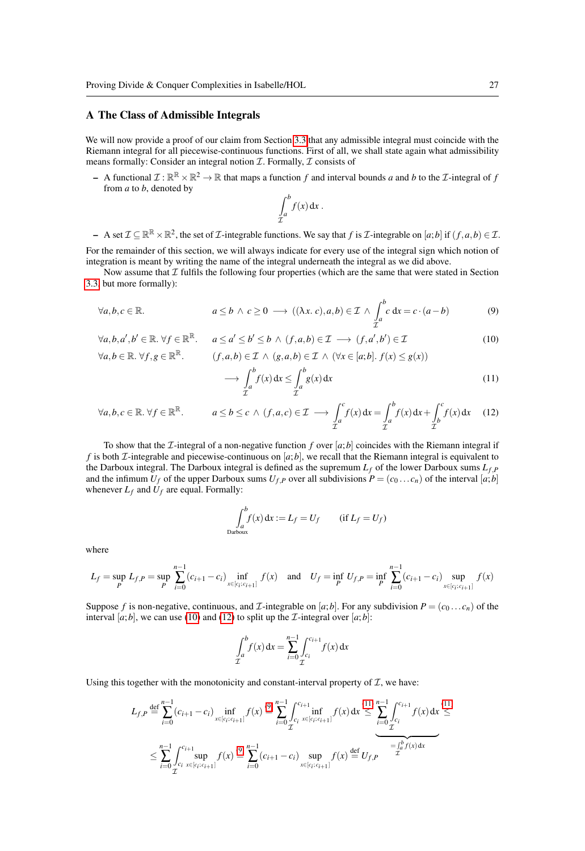#### A The Class of Admissible Integrals

We will now provide a proof of our claim from Section [3.3](#page-5-0) that any admissible integral must coincide with the Riemann integral for all piecewise-continuous functions. First of all, we shall state again what admissibility means formally: Consider an integral notion  $\mathcal I$ . Formally,  $\mathcal I$  consists of

 $I$  A functional  $\mathcal{I}: \mathbb{R}^{\mathbb{R}} \times \mathbb{R}^2 \to \mathbb{R}$  that maps a function *f* and interval bounds *a* and *b* to the *L*-integral of *f* from *a* to *b*, denoted by

<span id="page-26-2"></span><span id="page-26-0"></span>
$$
\int_a^b f(x) \, \mathrm{d} x \, .
$$

 $A$  set  $\mathcal{I} \subseteq \mathbb{R}^{\mathbb{R}} \times \mathbb{R}^2$ , the set of  $\mathcal{I}$ -integrable functions. We say that  $f$  is  $\mathcal{I}$ -integrable on  $[a, b]$  if  $(f, a, b) \in \mathcal{I}$ . For the remainder of this section, we will always indicate for every use of the integral sign which notion of integration is meant by writing the name of the integral underneath the integral as we did above.

Now assume that  $\mathcal I$  fulfils the following four properties (which are the same that were stated in Section [3.3,](#page-5-0) but more formally):

$$
\forall a, b, c \in \mathbb{R}.\qquad a \le b \land c \ge 0 \longrightarrow ((\lambda x. c), a, b) \in \mathcal{I} \land \int_{\mathcal{I}}^{b} c \, dx = c \cdot (a - b) \tag{9}
$$

$$
\forall a, b, a', b' \in \mathbb{R}. \ \forall f \in \mathbb{R}^{\mathbb{R}}. \quad a \le a' \le b' \le b \ \land \ (f, a, b) \in \mathcal{I} \ \longrightarrow \ (f, a', b') \in \mathcal{I} \tag{10}
$$

$$
\forall a, b \in \mathbb{R}. \ \forall f, g \in \mathbb{R}^{\mathbb{R}}. \qquad (f, a, b) \in \mathcal{I} \ \land \ (g, a, b) \in \mathcal{I} \ \land \ (\forall x \in [a; b]. \ f(x) \leq g(x))
$$

<span id="page-26-3"></span><span id="page-26-1"></span>
$$
\longrightarrow \int_{a}^{b} f(x) dx \le \int_{a}^{b} g(x) dx \tag{11}
$$

$$
\forall a, b, c \in \mathbb{R}. \ \forall f \in \mathbb{R}^{\mathbb{R}}. \qquad a \le b \le c \ \land \ (f, a, c) \in \mathcal{I} \ \longrightarrow \int_{a}^{c} f(x) \, dx = \int_{a}^{b} f(x) \, dx + \int_{b}^{c} f(x) \, dx \tag{12}
$$

To show that the *I*-integral of a non-negative function *f* over  $[a; b]$  coincides with the Riemann integral if *f* is both  $\mathcal{I}$ -integrable and piecewise-continuous on  $[a; b]$ , we recall that the Riemann integral is equivalent to the Darboux integral. The Darboux integral is defined as the supremum  $L_f$  of the lower Darboux sums  $L_f$  *P* and the infimum  $U_f$  of the upper Darboux sums  $U_{f,P}$  over all subdivisions  $P = (c_0 \dots c_n)$  of the interval  $[a,b]$ whenever  $L_f$  and  $\hat{U}_f$  are equal. Formally:

$$
\int_{a}^{b} f(x) dx := L_f = U_f \qquad (\text{if } L_f = U_f)
$$

where

$$
L_f = \sup_P L_{f,P} = \sup_P \sum_{i=0}^{n-1} (c_{i+1} - c_i) \inf_{x \in [c_i; c_{i+1}]} f(x) \quad \text{and} \quad U_f = \inf_P U_{f,P} = \inf_P \sum_{i=0}^{n-1} (c_{i+1} - c_i) \sup_{x \in [c_i; c_{i+1}]} f(x)
$$

Suppose *f* is non-negative, continuous, and *L*-integrable on [*a*;*b*]. For any subdivision  $P = (c_0 \dots c_n)$  of the interval  $[a, b]$ , we can use [\(10\)](#page-26-0) and [\(12\)](#page-26-1) to split up the *L*-integral over  $[a, b]$ :

$$
\int_{a}^{b} f(x) dx = \sum_{i=0}^{n-1} \int_{C_i}^{C_{i+1}} f(x) dx
$$

Using this together with the monotonicity and constant-interval property of  $\mathcal I$ , we have:

$$
L_{f,P} \stackrel{\text{def}}{=} \sum_{i=0}^{n-1} (c_{i+1} - c_i) \inf_{x \in [c_i; c_{i+1}]} f(x) \stackrel{\text{(9)}}{=} \sum_{i=0}^{n-1} \int_{c_i}^{c_{i+1}} \inf_{x \in [c_i; c_{i+1}]} f(x) dx \stackrel{\text{(11)}}{\leq} \sum_{i=0}^{n-1} \int_{c_i}^{c_{i+1}} f(x) dx \stackrel{\text{(11)}}{\leq}
$$

$$
\leq \sum_{i=0}^{n-1} \int_{c_i}^{c_{i+1}} \sup_{x \in [c_i; c_{i+1}]} f(x) \stackrel{\text{(9)}}{=} \sum_{i=0}^{n-1} (c_{i+1} - c_i) \sup_{x \in [c_i; c_{i+1}]} f(x) \stackrel{\text{def}}{=} U_{f,P} \qquad \stackrel{= \int_a^b f(x) dx}{\stackrel{= \int_a^b f(x) dx}{\leq}}
$$